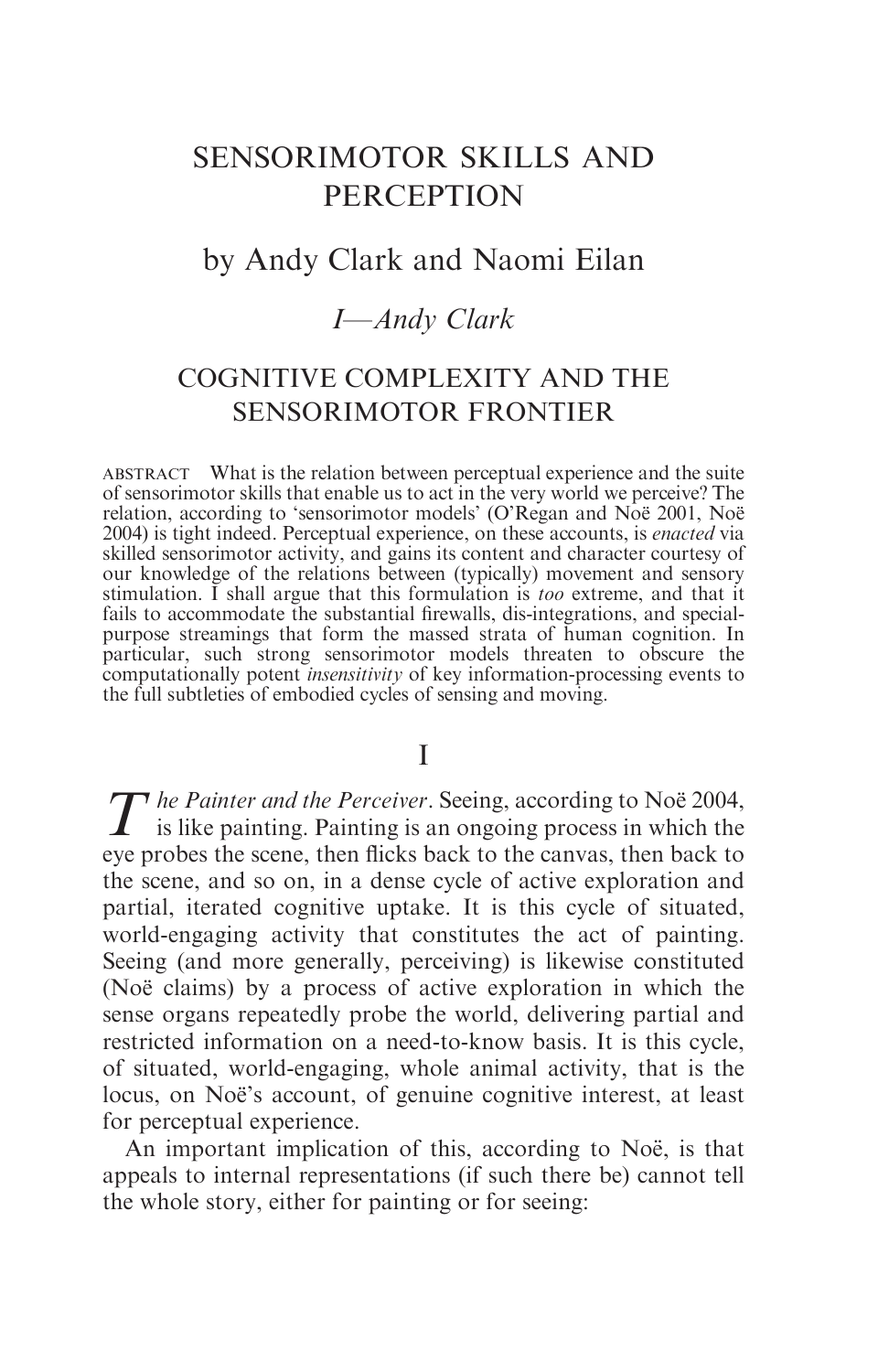# SENSORIMOTOR SKILLS AND **PERCEPTION**

## by Andy Clark and Naomi Eilan

### I—Andy Clark

## COGNITIVE COMPLEXITY AND THE SENSORIMOTOR FRONTIER

ABSTRACT What is the relation between perceptual experience and the suite of sensorimotor skills that enable us to act in the very world we perceive? The relation, according to 'sensorimotor models' (O'Regan and Noë 2001, Noë 2004) is tight indeed. Perceptual experience, on these accounts, is *enacted* via skilled sensorimotor activity, and gains its content and character courtesy of our knowledge of the relations between (typically) movement and sensory stimulation. I shall argue that this formulation is *too* extreme, and that it fails to accommodate the substantial firewalls, dis-integrations, and specialpurpose streamings that form the massed strata of human cognition. In particular, such strong sensorimotor models threaten to obscure the computationally potent *insensitivity* of key information-processing events to the full subtleties of embodied cycles of sensing and moving.

#### I

 $T$  he Painter and the Perceiver. Seeing, according to Noë 2004, is like painting. Painting is an ongoing process in which the eye probes the scene, then flicks back to the canvas, then back to the scene, and so on, in a dense cycle of active exploration and partial, iterated cognitive uptake. It is this cycle of situated, world-engaging activity that constitutes the act of painting. Seeing (and more generally, perceiving) is likewise constituted (Noe claims) by a process of active exploration in which the sense organs repeatedly probe the world, delivering partial and restricted information on a need-to-know basis. It is this cycle, of situated, world-engaging, whole animal activity, that is the locus, on Noë's account, of genuine cognitive interest, at least for perceptual experience.

An important implication of this, according to Noë, is that appeals to internal representations (if such there be) cannot tell the whole story, either for painting or for seeing: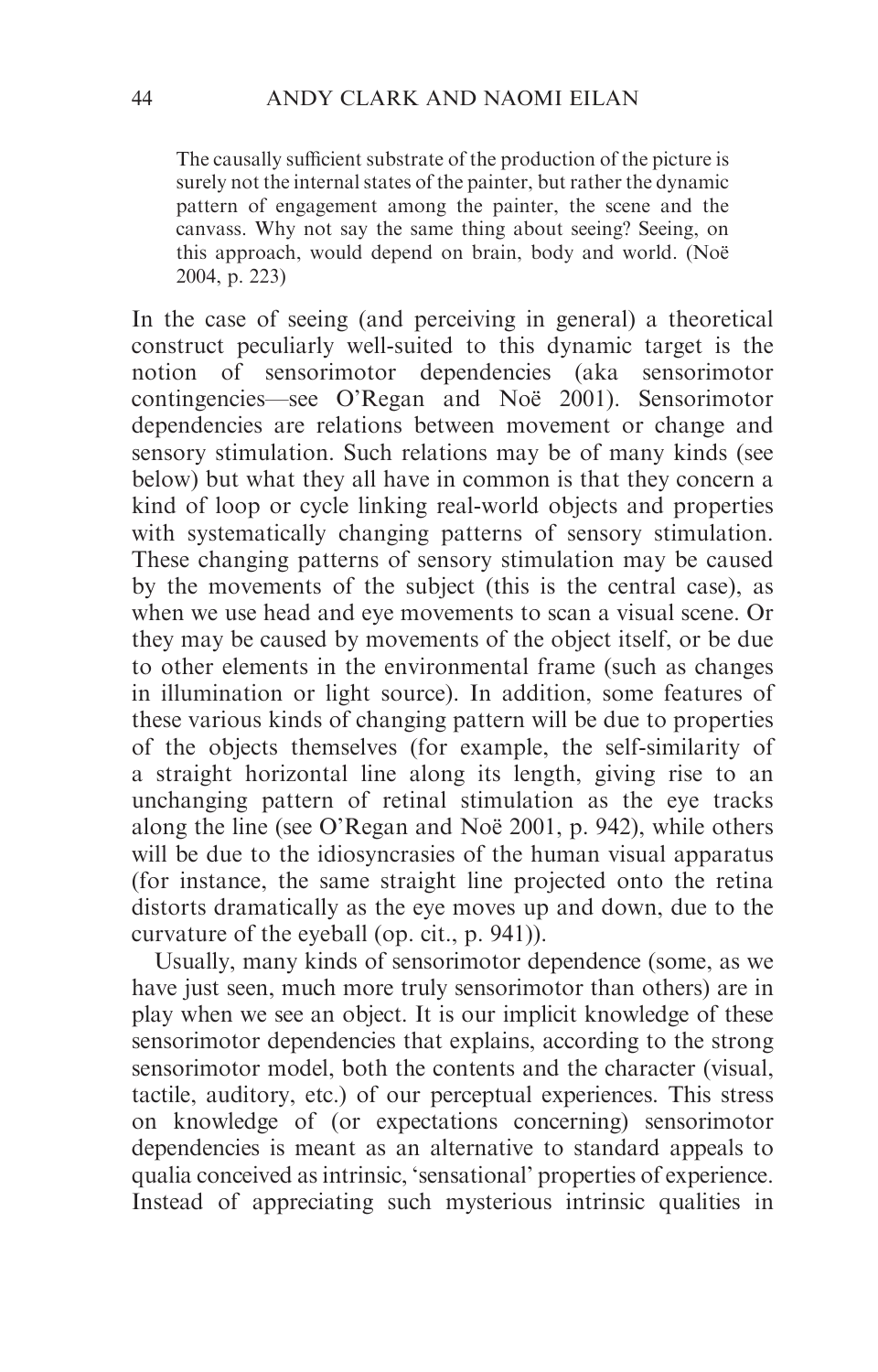The causally sufficient substrate of the production of the picture is surely not the internal states of the painter, but rather the dynamic pattern of engagement among the painter, the scene and the canvass. Why not say the same thing about seeing? Seeing, on this approach, would depend on brain, body and world. (Noë 2004, p. 223)

In the case of seeing (and perceiving in general) a theoretical construct peculiarly well-suited to this dynamic target is the notion of sensorimotor dependencies (aka sensorimotor contingencies—see O'Regan and Noë 2001). Sensorimotor dependencies are relations between movement or change and sensory stimulation. Such relations may be of many kinds (see below) but what they all have in common is that they concern a kind of loop or cycle linking real-world objects and properties with systematically changing patterns of sensory stimulation. These changing patterns of sensory stimulation may be caused by the movements of the subject (this is the central case), as when we use head and eye movements to scan a visual scene. Or they may be caused by movements of the object itself, or be due to other elements in the environmental frame (such as changes in illumination or light source). In addition, some features of these various kinds of changing pattern will be due to properties of the objects themselves (for example, the self-similarity of a straight horizontal line along its length, giving rise to an unchanging pattern of retinal stimulation as the eye tracks along the line (see O'Regan and Noë 2001, p. 942), while others will be due to the idiosyncrasies of the human visual apparatus (for instance, the same straight line projected onto the retina distorts dramatically as the eye moves up and down, due to the curvature of the eyeball (op. cit., p. 941)).

Usually, many kinds of sensorimotor dependence (some, as we have just seen, much more truly sensorimotor than others) are in play when we see an object. It is our implicit knowledge of these sensorimotor dependencies that explains, according to the strong sensorimotor model, both the contents and the character (visual, tactile, auditory, etc.) of our perceptual experiences. This stress on knowledge of (or expectations concerning) sensorimotor dependencies is meant as an alternative to standard appeals to qualia conceived as intrinsic, 'sensational' properties of experience. Instead of appreciating such mysterious intrinsic qualities in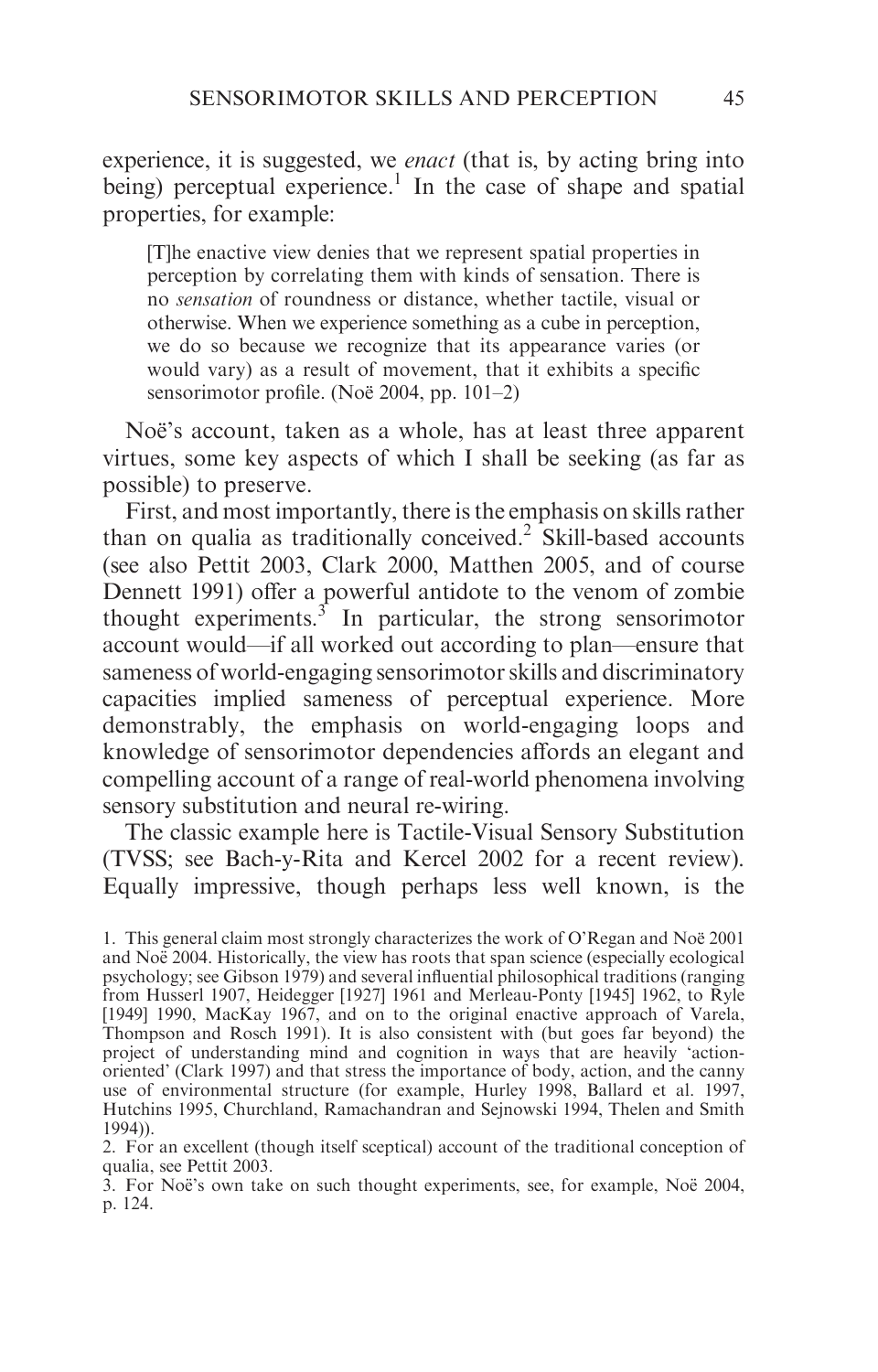experience, it is suggested, we *enact* (that is, by acting bring into being) perceptual experience.<sup>1</sup> In the case of shape and spatial properties, for example:

[T]he enactive view denies that we represent spatial properties in perception by correlating them with kinds of sensation. There is no sensation of roundness or distance, whether tactile, visual or otherwise. When we experience something as a cube in perception, we do so because we recognize that its appearance varies (or would vary) as a result of movement, that it exhibits a specific sensorimotor profile. (Noë 2004, pp.  $101-2$ )

Noë's account, taken as a whole, has at least three apparent virtues, some key aspects of which I shall be seeking (as far as possible) to preserve.

First, and most importantly, there is the emphasis on skills rather than on qualia as traditionally conceived.<sup>2</sup> Skill-based accounts (see also Pettit 2003, Clark 2000, Matthen 2005, and of course Dennett 1991) offer a powerful antidote to the venom of zombie thought experiments. $3\overline{1}$  In particular, the strong sensorimotor account would—if all worked out according to plan—ensure that sameness of world-engaging sensorimotor skills and discriminatory capacities implied sameness of perceptual experience. More demonstrably, the emphasis on world-engaging loops and knowledge of sensorimotor dependencies affords an elegant and compelling account of a range of real-world phenomena involving sensory substitution and neural re-wiring.

The classic example here is Tactile-Visual Sensory Substitution (TVSS; see Bach-y-Rita and Kercel 2002 for a recent review). Equally impressive, though perhaps less well known, is the

<sup>1.</sup> This general claim most strongly characterizes the work of O'Regan and Noë 2001 and Noë 2004. Historically, the view has roots that span science (especially ecological psychology; see Gibson 1979) and several influential philosophical traditions (ranging from Husserl 1907, Heidegger [1927] 1961 and Merleau-Ponty [1945] 1962, to Ryle [1949] 1990, MacKay 1967, and on to the original enactive approach of Varela, Thompson and Rosch 1991). It is also consistent with (but goes far beyond) the project of understanding mind and cognition in ways that are heavily 'actionoriented' (Clark 1997) and that stress the importance of body, action, and the canny use of environmental structure (for example, Hurley 1998, Ballard et al. 1997, Hutchins 1995, Churchland, Ramachandran and Sejnowski 1994, Thelen and Smith 1994)).

<sup>2.</sup> For an excellent (though itself sceptical) account of the traditional conception of qualia, see Pettit 2003.

 $\hat{3}$ . For Noë's own take on such thought experiments, see, for example, Noë 2004, p. 124.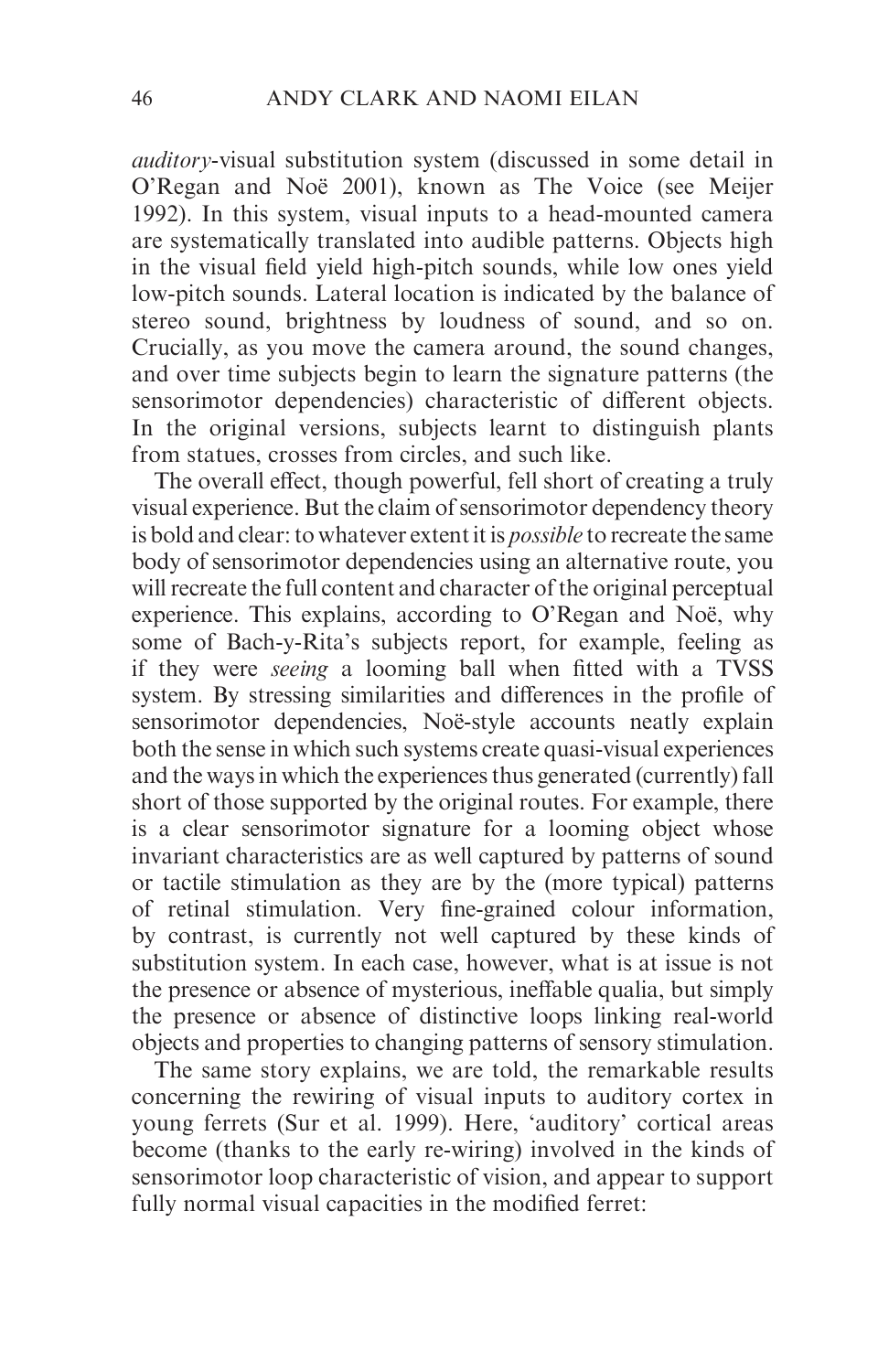auditory-visual substitution system (discussed in some detail in O'Regan and Noe¨ 2001), known as The Voice (see Meijer 1992). In this system, visual inputs to a head-mounted camera are systematically translated into audible patterns. Objects high in the visual field yield high-pitch sounds, while low ones yield low-pitch sounds. Lateral location is indicated by the balance of stereo sound, brightness by loudness of sound, and so on. Crucially, as you move the camera around, the sound changes, and over time subjects begin to learn the signature patterns (the sensorimotor dependencies) characteristic of different objects. In the original versions, subjects learnt to distinguish plants from statues, crosses from circles, and such like.

The overall effect, though powerful, fell short of creating a truly visual experience. But the claim of sensorimotor dependency theory is bold and clear: to whatever extent it is *possible* to recreate the same body of sensorimotor dependencies using an alternative route, you will recreate the full content and character of the original perceptual experience. This explains, according to  $O'$ Regan and Noë, why some of Bach-y-Rita's subjects report, for example, feeling as if they were seeing a looming ball when fitted with a TVSS system. By stressing similarities and differences in the profile of sensorimotor dependencies, Noë-style accounts neatly explain both the sense in which such systems create quasi-visual experiences and the ways in which the experiences thus generated (currently) fall short of those supported by the original routes. For example, there is a clear sensorimotor signature for a looming object whose invariant characteristics are as well captured by patterns of sound or tactile stimulation as they are by the (more typical) patterns of retinal stimulation. Very fine-grained colour information, by contrast, is currently not well captured by these kinds of substitution system. In each case, however, what is at issue is not the presence or absence of mysterious, ineffable qualia, but simply the presence or absence of distinctive loops linking real-world objects and properties to changing patterns of sensory stimulation.

The same story explains, we are told, the remarkable results concerning the rewiring of visual inputs to auditory cortex in young ferrets (Sur et al. 1999). Here, 'auditory' cortical areas become (thanks to the early re-wiring) involved in the kinds of sensorimotor loop characteristic of vision, and appear to support fully normal visual capacities in the modified ferret: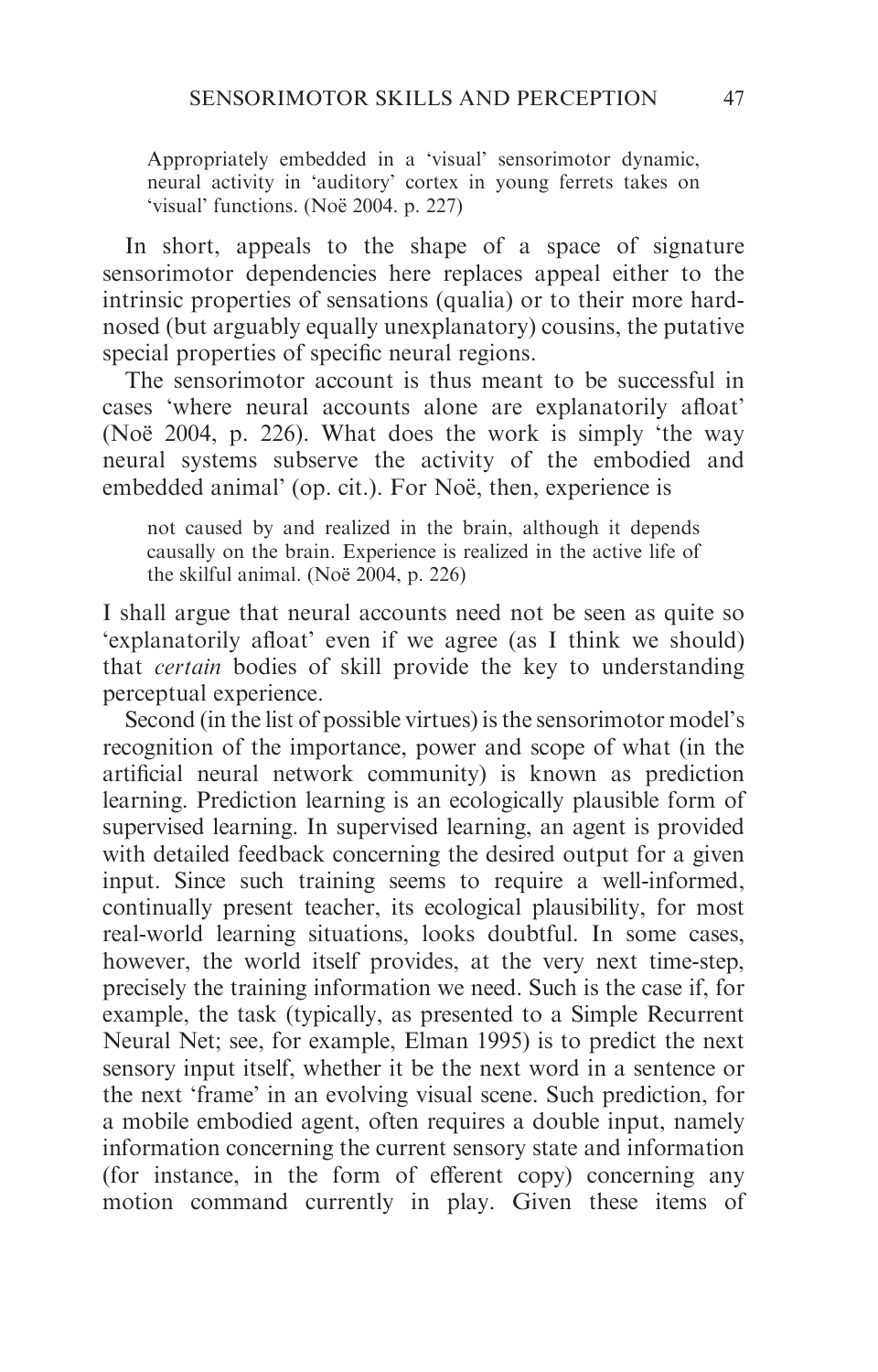Appropriately embedded in a 'visual' sensorimotor dynamic, neural activity in 'auditory' cortex in young ferrets takes on 'visual' functions. (Noë 2004. p. 227)

In short, appeals to the shape of a space of signature sensorimotor dependencies here replaces appeal either to the intrinsic properties of sensations (qualia) or to their more hardnosed (but arguably equally unexplanatory) cousins, the putative special properties of specific neural regions.

The sensorimotor account is thus meant to be successful in cases 'where neural accounts alone are explanatorily afloat' (Noë  $2004$ , p. 226). What does the work is simply 'the way neural systems subserve the activity of the embodied and embedded animal' (op. cit.). For Noë, then, experience is

not caused by and realized in the brain, although it depends causally on the brain. Experience is realized in the active life of the skilful animal. (Noë 2004, p. 226)

I shall argue that neural accounts need not be seen as quite so 'explanatorily afloat' even if we agree (as I think we should) that certain bodies of skill provide the key to understanding perceptual experience.

Second (in the list of possible virtues) is the sensorimotor model's recognition of the importance, power and scope of what (in the artificial neural network community) is known as prediction learning. Prediction learning is an ecologically plausible form of supervised learning. In supervised learning, an agent is provided with detailed feedback concerning the desired output for a given input. Since such training seems to require a well-informed, continually present teacher, its ecological plausibility, for most real-world learning situations, looks doubtful. In some cases, however, the world itself provides, at the very next time-step, precisely the training information we need. Such is the case if, for example, the task (typically, as presented to a Simple Recurrent Neural Net; see, for example, Elman 1995) is to predict the next sensory input itself, whether it be the next word in a sentence or the next 'frame' in an evolving visual scene. Such prediction, for a mobile embodied agent, often requires a double input, namely information concerning the current sensory state and information (for instance, in the form of efferent copy) concerning any motion command currently in play. Given these items of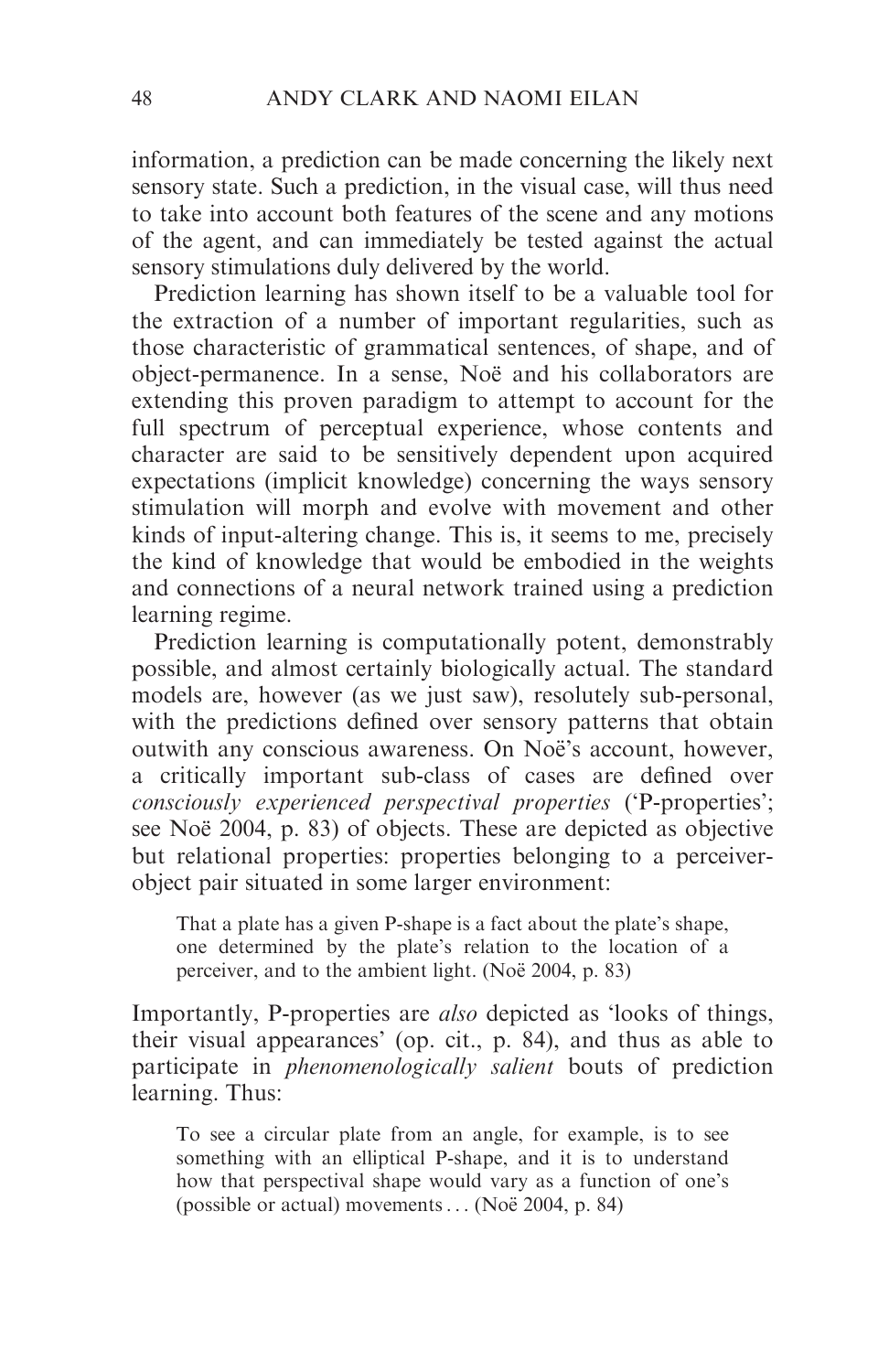information, a prediction can be made concerning the likely next sensory state. Such a prediction, in the visual case, will thus need to take into account both features of the scene and any motions of the agent, and can immediately be tested against the actual sensory stimulations duly delivered by the world.

Prediction learning has shown itself to be a valuable tool for the extraction of a number of important regularities, such as those characteristic of grammatical sentences, of shape, and of object-permanence. In a sense, Noë and his collaborators are extending this proven paradigm to attempt to account for the full spectrum of perceptual experience, whose contents and character are said to be sensitively dependent upon acquired expectations (implicit knowledge) concerning the ways sensory stimulation will morph and evolve with movement and other kinds of input-altering change. This is, it seems to me, precisely the kind of knowledge that would be embodied in the weights and connections of a neural network trained using a prediction learning regime.

Prediction learning is computationally potent, demonstrably possible, and almost certainly biologically actual. The standard models are, however (as we just saw), resolutely sub-personal, with the predictions defined over sensory patterns that obtain outwith any conscious awareness. On Noë's account, however, a critically important sub-class of cases are defined over consciously experienced perspectival properties ('P-properties'; see Noë 2004, p. 83) of objects. These are depicted as objective but relational properties: properties belonging to a perceiverobject pair situated in some larger environment:

That a plate has a given P-shape is a fact about the plate's shape, one determined by the plate's relation to the location of a perceiver, and to the ambient light. (Noë 2004, p. 83)

Importantly, P-properties are also depicted as 'looks of things, their visual appearances' (op. cit., p. 84), and thus as able to participate in phenomenologically salient bouts of prediction learning. Thus:

To see a circular plate from an angle, for example, is to see something with an elliptical P-shape, and it is to understand how that perspectival shape would vary as a function of one's (possible or actual) movements  $\dots$  (Noë 2004, p. 84)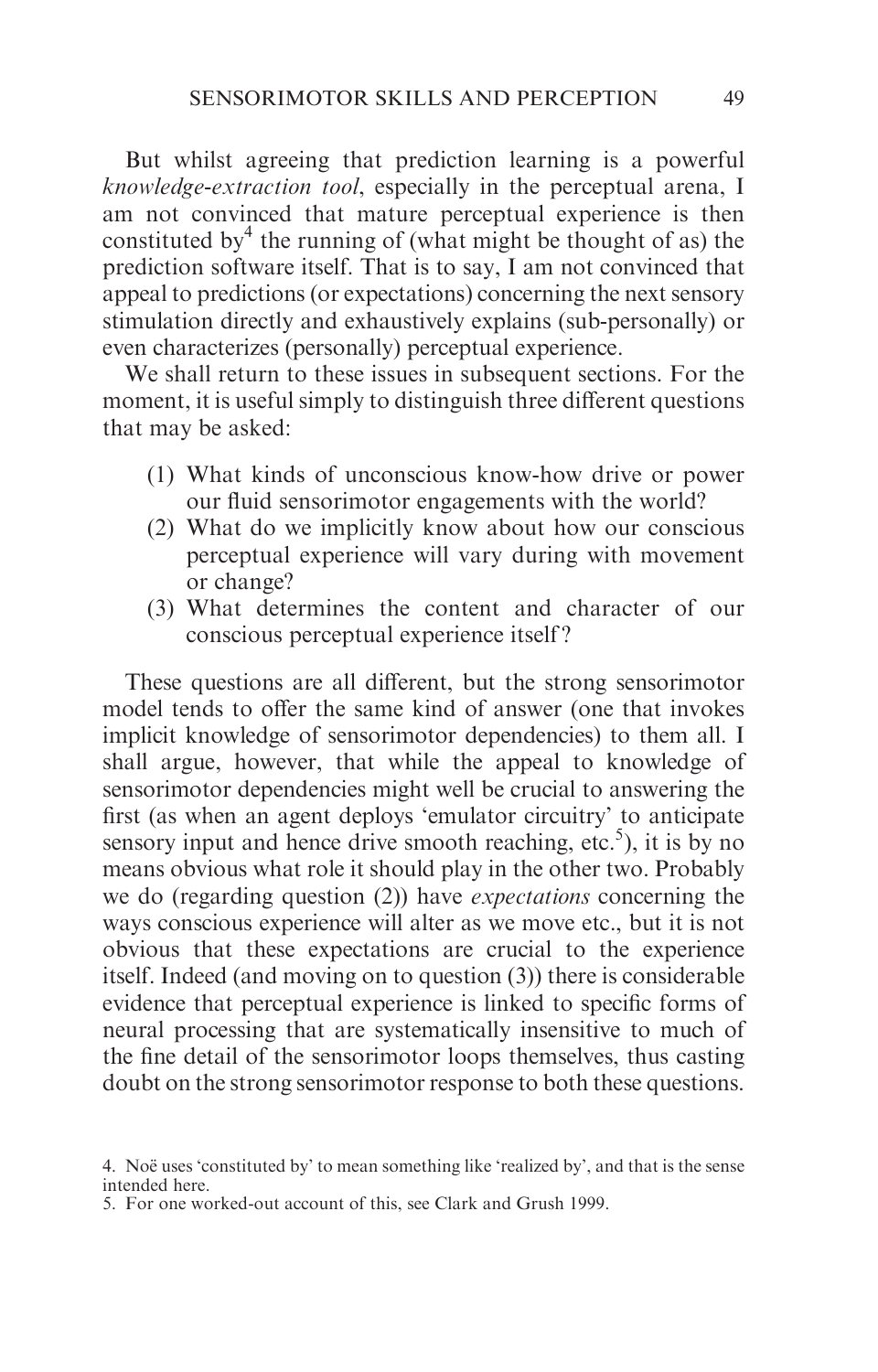But whilst agreeing that prediction learning is a powerful knowledge-extraction tool, especially in the perceptual arena, I am not convinced that mature perceptual experience is then constituted by<sup>4</sup> the running of (what might be thought of as) the prediction software itself. That is to say, I am not convinced that appeal to predictions (or expectations) concerning the next sensory stimulation directly and exhaustively explains (sub-personally) or even characterizes (personally) perceptual experience.

We shall return to these issues in subsequent sections. For the moment, it is useful simply to distinguish three different questions that may be asked:

- (1) What kinds of unconscious know-how drive or power our fluid sensorimotor engagements with the world?
- (2) What do we implicitly know about how our conscious perceptual experience will vary during with movement or change?
- (3) What determines the content and character of our conscious perceptual experience itself ?

These questions are all different, but the strong sensorimotor model tends to offer the same kind of answer (one that invokes implicit knowledge of sensorimotor dependencies) to them all. I shall argue, however, that while the appeal to knowledge of sensorimotor dependencies might well be crucial to answering the first (as when an agent deploys 'emulator circuitry' to anticipate sensory input and hence drive smooth reaching, etc.<sup>5</sup>), it is by no means obvious what role it should play in the other two. Probably we do (regarding question (2)) have expectations concerning the ways conscious experience will alter as we move etc., but it is not obvious that these expectations are crucial to the experience itself. Indeed (and moving on to question (3)) there is considerable evidence that perceptual experience is linked to specific forms of neural processing that are systematically insensitive to much of the fine detail of the sensorimotor loops themselves, thus casting doubt on the strong sensorimotor response to both these questions.

<sup>4.</sup> Noë uses 'constituted by' to mean something like 'realized by', and that is the sense intended here.

<sup>5.</sup> For one worked-out account of this, see Clark and Grush 1999.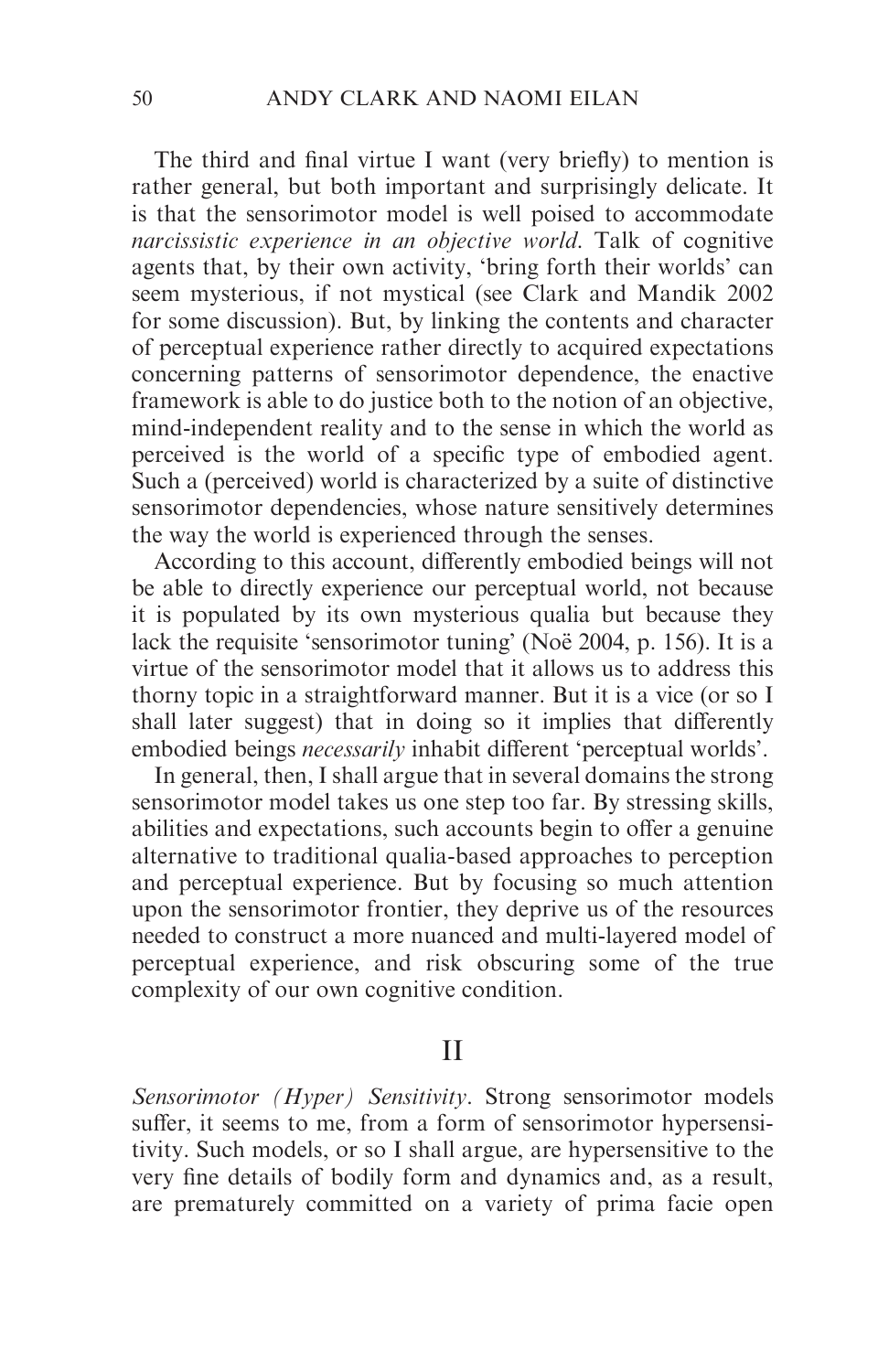The third and final virtue I want (very briefly) to mention is rather general, but both important and surprisingly delicate. It is that the sensorimotor model is well poised to accommodate narcissistic experience in an objective world. Talk of cognitive agents that, by their own activity, 'bring forth their worlds' can seem mysterious, if not mystical (see Clark and Mandik 2002 for some discussion). But, by linking the contents and character of perceptual experience rather directly to acquired expectations concerning patterns of sensorimotor dependence, the enactive framework is able to do justice both to the notion of an objective, mind-independent reality and to the sense in which the world as perceived is the world of a specific type of embodied agent. Such a (perceived) world is characterized by a suite of distinctive sensorimotor dependencies, whose nature sensitively determines the way the world is experienced through the senses.

According to this account, differently embodied beings will not be able to directly experience our perceptual world, not because it is populated by its own mysterious qualia but because they lack the requisite 'sensorimotor tuning' (Noë 2004, p. 156). It is a virtue of the sensorimotor model that it allows us to address this thorny topic in a straightforward manner. But it is a vice (or so I shall later suggest) that in doing so it implies that differently embodied beings necessarily inhabit different 'perceptual worlds'.

In general, then, I shall argue that in several domains the strong sensorimotor model takes us one step too far. By stressing skills, abilities and expectations, such accounts begin to offer a genuine alternative to traditional qualia-based approaches to perception and perceptual experience. But by focusing so much attention upon the sensorimotor frontier, they deprive us of the resources needed to construct a more nuanced and multi-layered model of perceptual experience, and risk obscuring some of the true complexity of our own cognitive condition.

### II

Sensorimotor (Hyper) Sensitivity. Strong sensorimotor models suffer, it seems to me, from a form of sensorimotor hypersensitivity. Such models, or so I shall argue, are hypersensitive to the very fine details of bodily form and dynamics and, as a result, are prematurely committed on a variety of prima facie open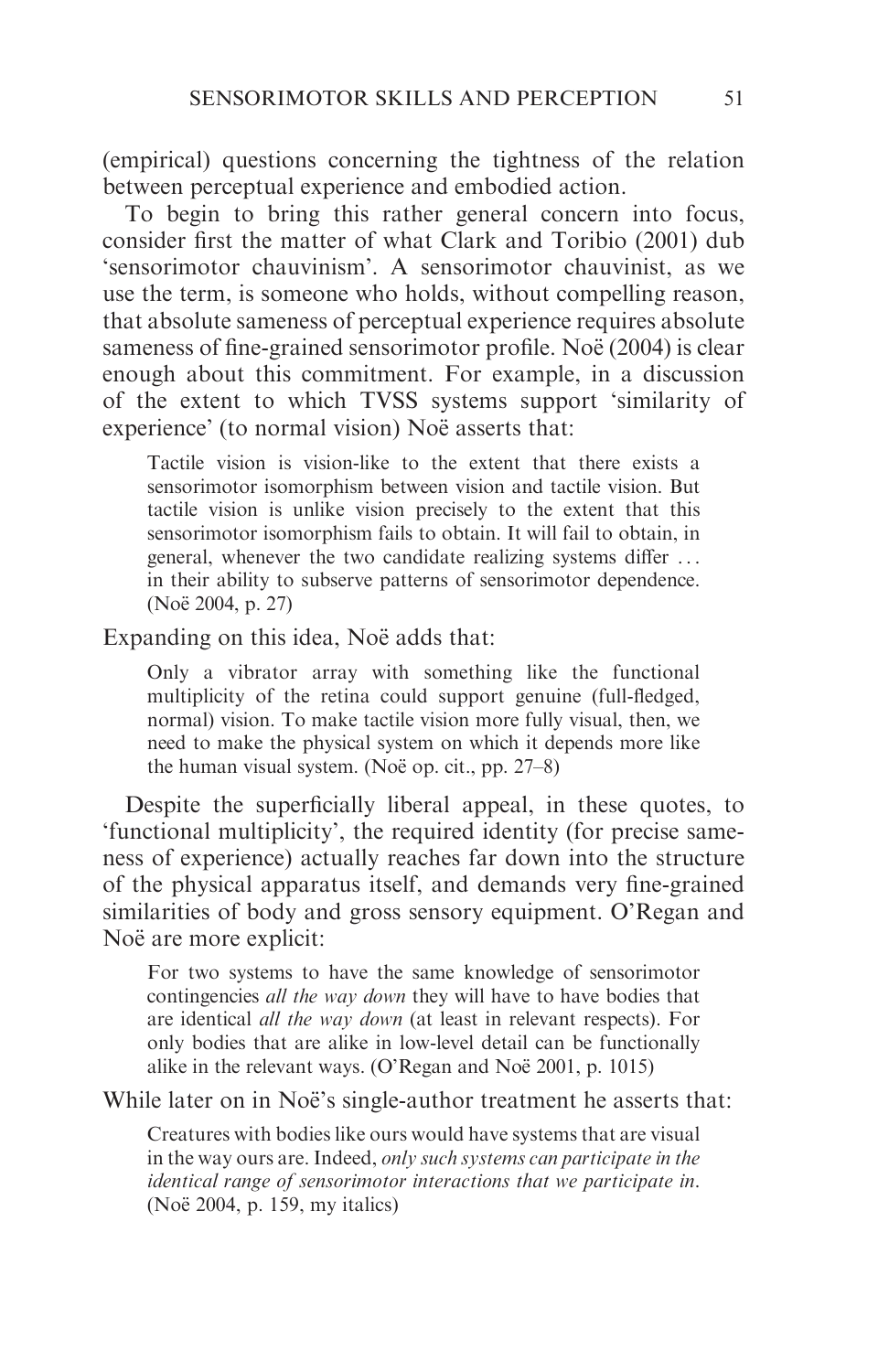(empirical) questions concerning the tightness of the relation between perceptual experience and embodied action.

To begin to bring this rather general concern into focus, consider first the matter of what Clark and Toribio (2001) dub 'sensorimotor chauvinism'. A sensorimotor chauvinist, as we use the term, is someone who holds, without compelling reason, that absolute sameness of perceptual experience requires absolute sameness of fine-grained sensorimotor profile. Noë (2004) is clear enough about this commitment. For example, in a discussion of the extent to which TVSS systems support 'similarity of experience' (to normal vision) Noë asserts that:

Tactile vision is vision-like to the extent that there exists a sensorimotor isomorphism between vision and tactile vision. But tactile vision is unlike vision precisely to the extent that this sensorimotor isomorphism fails to obtain. It will fail to obtain, in general, whenever the two candidate realizing systems differ . . . in their ability to subserve patterns of sensorimotor dependence. (Noë 2004, p. 27)

Expanding on this idea, Noë adds that:

Only a vibrator array with something like the functional multiplicity of the retina could support genuine (full-fledged, normal) vision. To make tactile vision more fully visual, then, we need to make the physical system on which it depends more like the human visual system. (Noë op. cit., pp.  $27-8$ )

Despite the superficially liberal appeal, in these quotes, to 'functional multiplicity', the required identity (for precise sameness of experience) actually reaches far down into the structure of the physical apparatus itself, and demands very fine-grained similarities of body and gross sensory equipment. O'Regan and Noë are more explicit:

For two systems to have the same knowledge of sensorimotor contingencies all the way down they will have to have bodies that are identical all the way down (at least in relevant respects). For only bodies that are alike in low-level detail can be functionally alike in the relevant ways. (O'Regan and Noë 2001, p. 1015)

While later on in Noë's single-author treatment he asserts that:

Creatures with bodies like ours would have systems that are visual in the way ours are. Indeed, only such systems can participate in the identical range of sensorimotor interactions that we participate in. (Noë 2004, p. 159, my italics)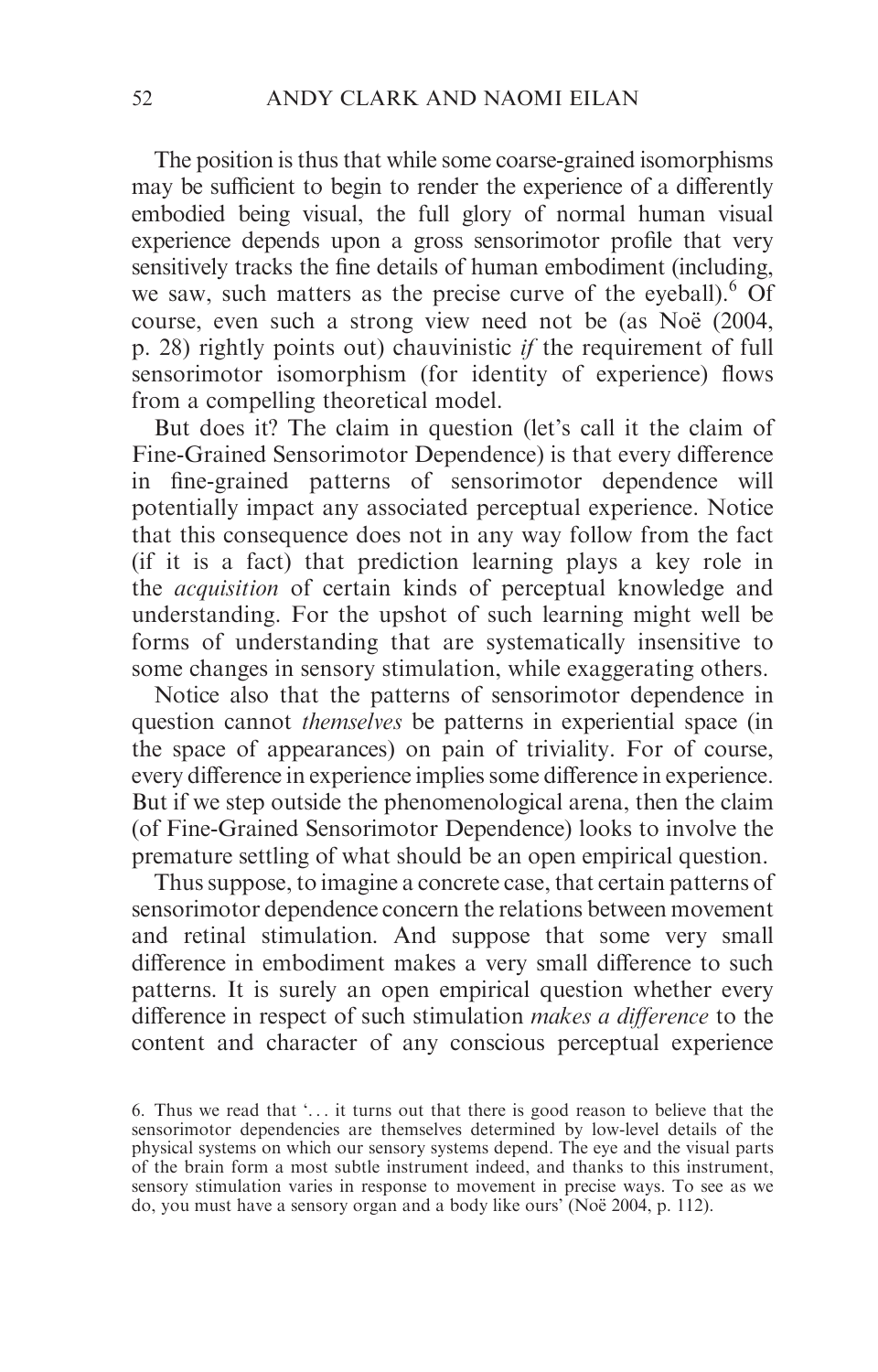The position is thus that while some coarse-grained isomorphisms may be sufficient to begin to render the experience of a differently embodied being visual, the full glory of normal human visual experience depends upon a gross sensorimotor profile that very sensitively tracks the fine details of human embodiment (including, we saw, such matters as the precise curve of the eyeball). $6$  Of course, even such a strong view need not be (as Noë (2004, p. 28) rightly points out) chauvinistic if the requirement of full sensorimotor isomorphism (for identity of experience) flows from a compelling theoretical model.

But does it? The claim in question (let's call it the claim of Fine-Grained Sensorimotor Dependence) is that every difference in fine-grained patterns of sensorimotor dependence will potentially impact any associated perceptual experience. Notice that this consequence does not in any way follow from the fact (if it is a fact) that prediction learning plays a key role in the acquisition of certain kinds of perceptual knowledge and understanding. For the upshot of such learning might well be forms of understanding that are systematically insensitive to some changes in sensory stimulation, while exaggerating others.

Notice also that the patterns of sensorimotor dependence in question cannot themselves be patterns in experiential space (in the space of appearances) on pain of triviality. For of course, every difference in experience implies some difference in experience. But if we step outside the phenomenological arena, then the claim (of Fine-Grained Sensorimotor Dependence) looks to involve the premature settling of what should be an open empirical question.

Thus suppose, to imagine a concrete case, that certain patterns of sensorimotor dependence concern the relations between movement and retinal stimulation. And suppose that some very small difference in embodiment makes a very small difference to such patterns. It is surely an open empirical question whether every difference in respect of such stimulation makes a difference to the content and character of any conscious perceptual experience

<sup>6.</sup> Thus we read that '. . . it turns out that there is good reason to believe that the sensorimotor dependencies are themselves determined by low-level details of the physical systems on which our sensory systems depend. The eye and the visual parts of the brain form a most subtle instrument indeed, and thanks to this instrument, sensory stimulation varies in response to movement in precise ways. To see as we do, you must have a sensory organ and a body like ours' (Noë  $2004$ , p. 112).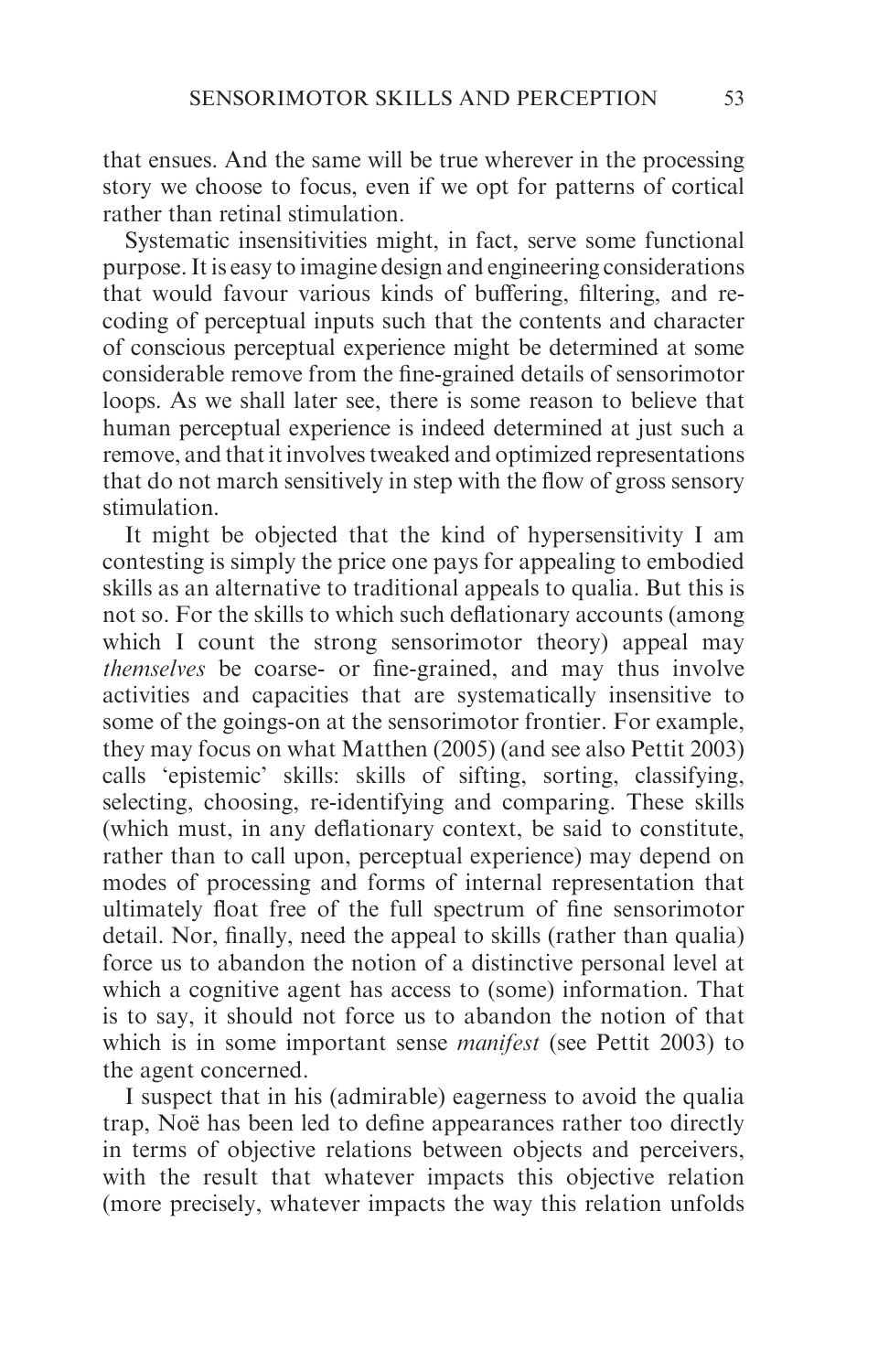that ensues. And the same will be true wherever in the processing story we choose to focus, even if we opt for patterns of cortical rather than retinal stimulation.

Systematic insensitivities might, in fact, serve some functional purpose. It is easy to imagine design and engineering considerations that would favour various kinds of buffering, filtering, and recoding of perceptual inputs such that the contents and character of conscious perceptual experience might be determined at some considerable remove from the fine-grained details of sensorimotor loops. As we shall later see, there is some reason to believe that human perceptual experience is indeed determined at just such a remove, and that it involves tweaked and optimized representations that do not march sensitively in step with the flow of gross sensory stimulation.

It might be objected that the kind of hypersensitivity I am contesting is simply the price one pays for appealing to embodied skills as an alternative to traditional appeals to qualia. But this is not so. For the skills to which such deflationary accounts (among which I count the strong sensorimotor theory) appeal may themselves be coarse- or fine-grained, and may thus involve activities and capacities that are systematically insensitive to some of the goings-on at the sensorimotor frontier. For example, they may focus on what Matthen (2005) (and see also Pettit 2003) calls 'epistemic' skills: skills of sifting, sorting, classifying, selecting, choosing, re-identifying and comparing. These skills (which must, in any deflationary context, be said to constitute, rather than to call upon, perceptual experience) may depend on modes of processing and forms of internal representation that ultimately float free of the full spectrum of fine sensorimotor detail. Nor, finally, need the appeal to skills (rather than qualia) force us to abandon the notion of a distinctive personal level at which a cognitive agent has access to (some) information. That is to say, it should not force us to abandon the notion of that which is in some important sense *manifest* (see Pettit 2003) to the agent concerned.

I suspect that in his (admirable) eagerness to avoid the qualia trap, Noë has been led to define appearances rather too directly in terms of objective relations between objects and perceivers, with the result that whatever impacts this objective relation (more precisely, whatever impacts the way this relation unfolds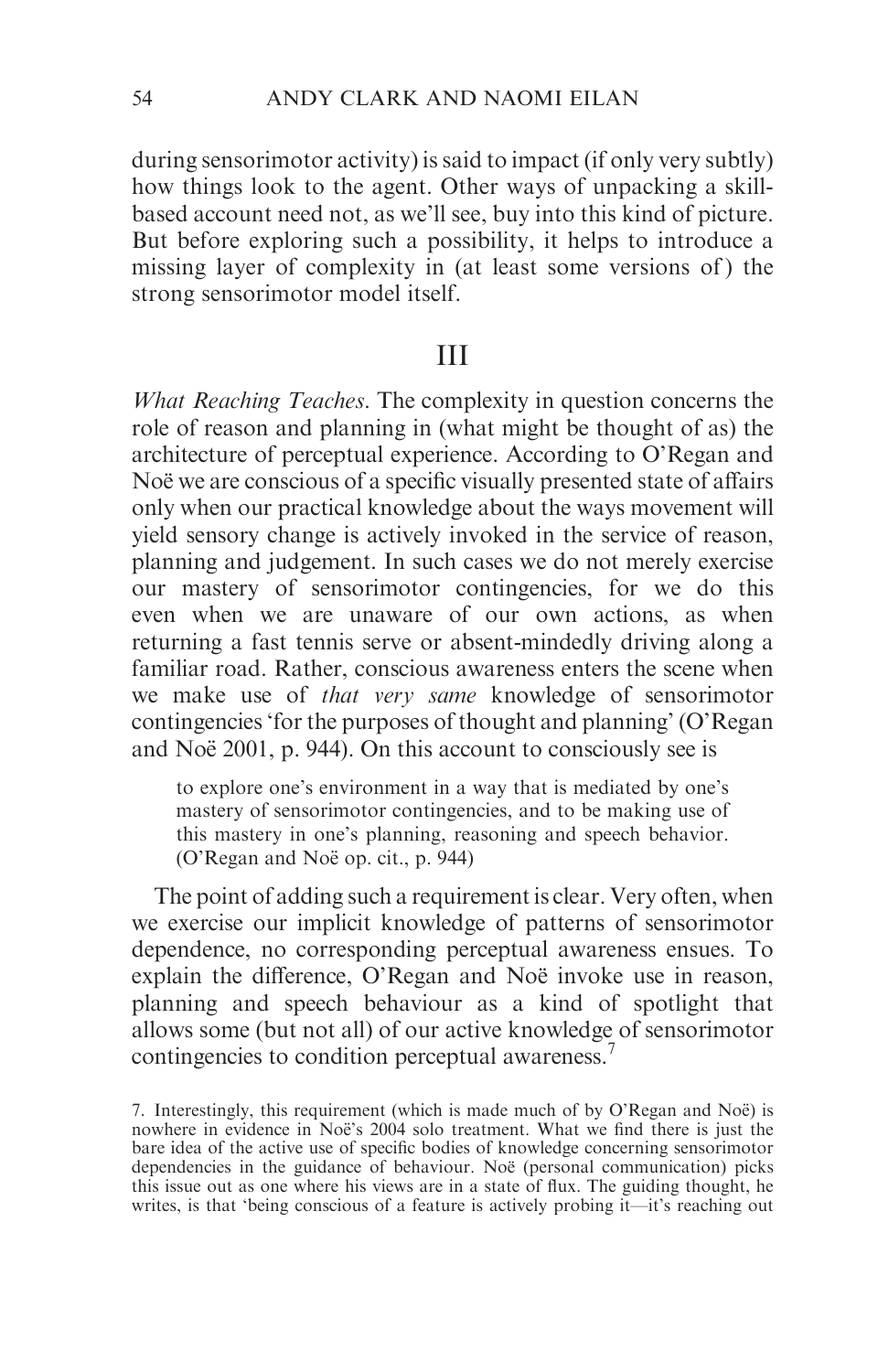during sensorimotor activity) is said to impact (if only very subtly) how things look to the agent. Other ways of unpacking a skillbased account need not, as we'll see, buy into this kind of picture. But before exploring such a possibility, it helps to introduce a missing layer of complexity in (at least some versions of ) the strong sensorimotor model itself.

#### III

What Reaching Teaches. The complexity in question concerns the role of reason and planning in (what might be thought of as) the architecture of perceptual experience. According to O'Regan and Noë we are conscious of a specific visually presented state of affairs only when our practical knowledge about the ways movement will yield sensory change is actively invoked in the service of reason, planning and judgement. In such cases we do not merely exercise our mastery of sensorimotor contingencies, for we do this even when we are unaware of our own actions, as when returning a fast tennis serve or absent-mindedly driving along a familiar road. Rather, conscious awareness enters the scene when we make use of that very same knowledge of sensorimotor contingencies 'for the purposes of thought and planning' (O'Regan and Noë  $2001$ , p. 944). On this account to consciously see is

to explore one's environment in a way that is mediated by one's mastery of sensorimotor contingencies, and to be making use of this mastery in one's planning, reasoning and speech behavior. (O'Regan and Noë op. cit., p. 944)

The point of adding such a requirement is clear. Very often, when we exercise our implicit knowledge of patterns of sensorimotor dependence, no corresponding perceptual awareness ensues. To explain the difference, O'Regan and Noë invoke use in reason, planning and speech behaviour as a kind of spotlight that allows some (but not all) of our active knowledge of sensorimotor contingencies to condition perceptual awareness.<sup>7</sup>

<sup>7.</sup> Interestingly, this requirement (which is made much of by O'Regan and Noë) is nowhere in evidence in Noë's 2004 solo treatment. What we find there is just the bare idea of the active use of specific bodies of knowledge concerning sensorimotor dependencies in the guidance of behaviour. Noë (personal communication) picks this issue out as one where his views are in a state of flux. The guiding thought, he writes, is that 'being conscious of a feature is actively probing it—it's reaching out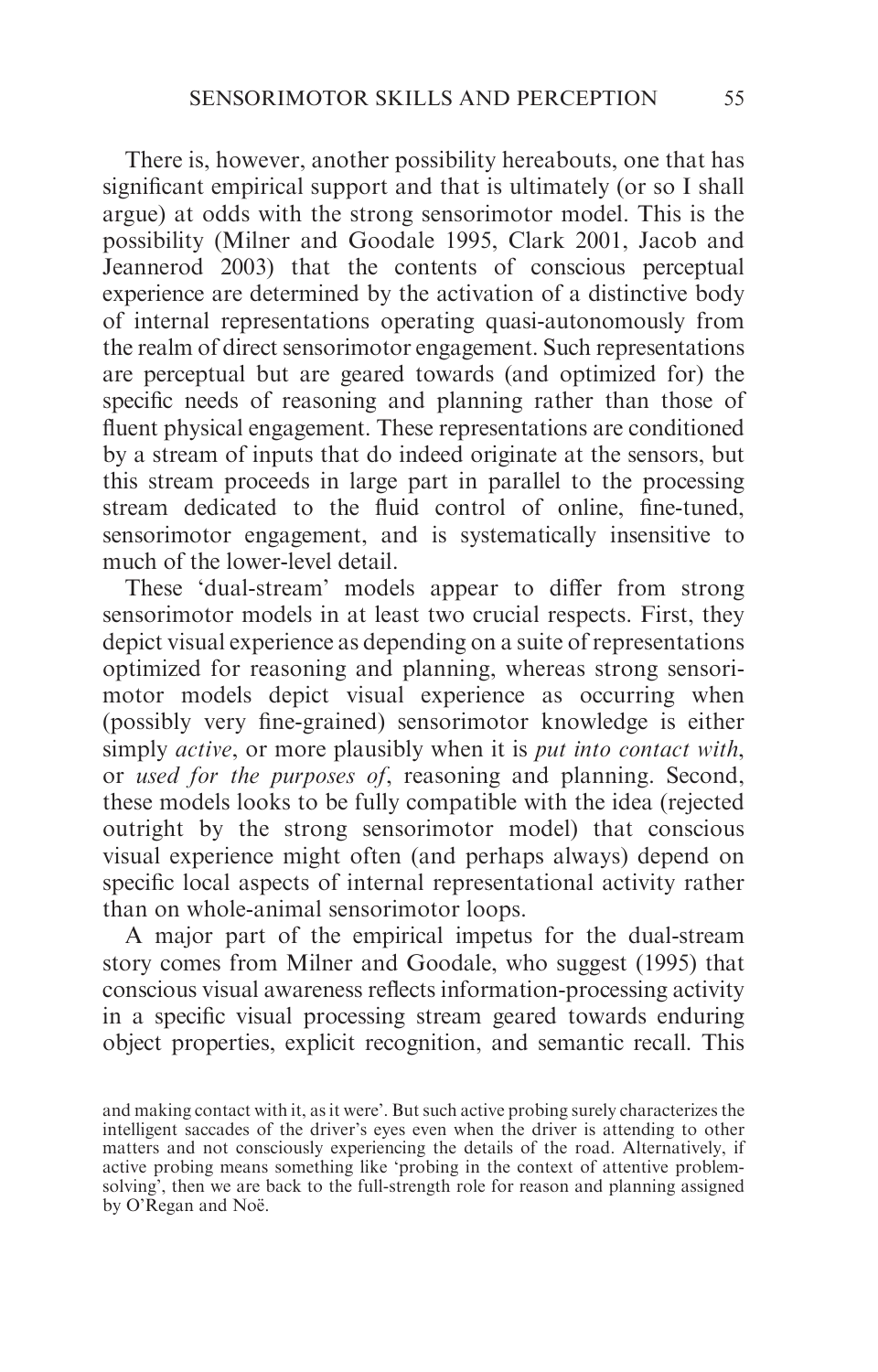There is, however, another possibility hereabouts, one that has significant empirical support and that is ultimately (or so I shall argue) at odds with the strong sensorimotor model. This is the possibility (Milner and Goodale 1995, Clark 2001, Jacob and Jeannerod 2003) that the contents of conscious perceptual experience are determined by the activation of a distinctive body of internal representations operating quasi-autonomously from the realm of direct sensorimotor engagement. Such representations are perceptual but are geared towards (and optimized for) the specific needs of reasoning and planning rather than those of fluent physical engagement. These representations are conditioned by a stream of inputs that do indeed originate at the sensors, but this stream proceeds in large part in parallel to the processing stream dedicated to the fluid control of online, fine-tuned, sensorimotor engagement, and is systematically insensitive to much of the lower-level detail.

These 'dual-stream' models appear to differ from strong sensorimotor models in at least two crucial respects. First, they depict visual experience as depending on a suite of representations optimized for reasoning and planning, whereas strong sensorimotor models depict visual experience as occurring when (possibly very fine-grained) sensorimotor knowledge is either simply *active*, or more plausibly when it is *put into contact with*, or used for the purposes of, reasoning and planning. Second, these models looks to be fully compatible with the idea (rejected outright by the strong sensorimotor model) that conscious visual experience might often (and perhaps always) depend on specific local aspects of internal representational activity rather than on whole-animal sensorimotor loops.

A major part of the empirical impetus for the dual-stream story comes from Milner and Goodale, who suggest (1995) that conscious visual awareness reflects information-processing activity in a specific visual processing stream geared towards enduring object properties, explicit recognition, and semantic recall. This

and making contact with it, as it were'. But such active probing surely characterizes the intelligent saccades of the driver's eyes even when the driver is attending to other matters and not consciously experiencing the details of the road. Alternatively, if active probing means something like 'probing in the context of attentive problemsolving', then we are back to the full-strength role for reason and planning assigned by O'Regan and Noë.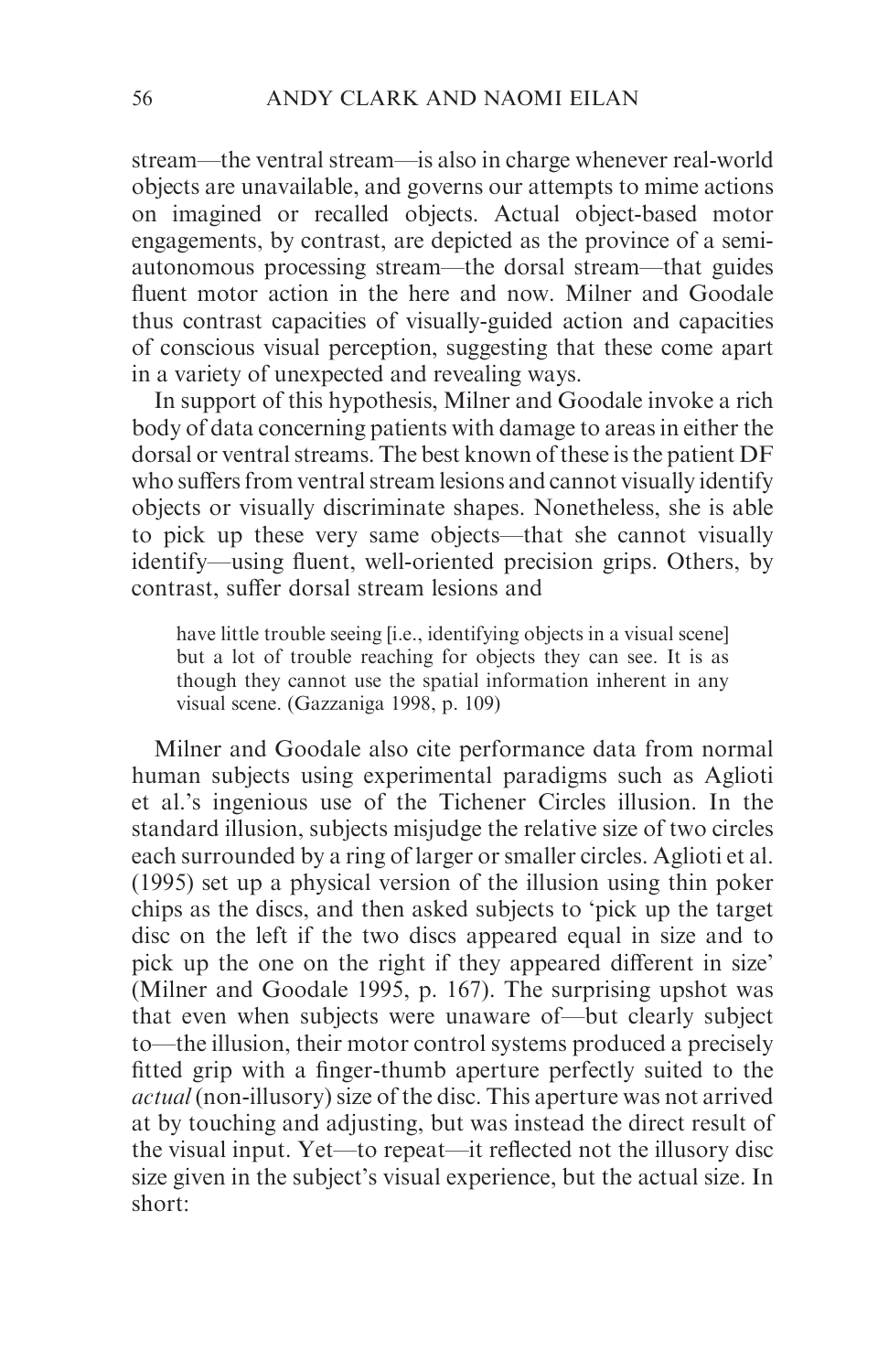stream—the ventral stream—is also in charge whenever real-world objects are unavailable, and governs our attempts to mime actions on imagined or recalled objects. Actual object-based motor engagements, by contrast, are depicted as the province of a semiautonomous processing stream—the dorsal stream—that guides fluent motor action in the here and now. Milner and Goodale thus contrast capacities of visually-guided action and capacities of conscious visual perception, suggesting that these come apart in a variety of unexpected and revealing ways.

In support of this hypothesis, Milner and Goodale invoke a rich body of data concerning patients with damage to areas in either the dorsal or ventral streams. The best known of these is the patient DF who suffers from ventral stream lesions and cannot visually identify objects or visually discriminate shapes. Nonetheless, she is able to pick up these very same objects—that she cannot visually identify—using fluent, well-oriented precision grips. Others, by contrast, suffer dorsal stream lesions and

have little trouble seeing [i.e., identifying objects in a visual scene] but a lot of trouble reaching for objects they can see. It is as though they cannot use the spatial information inherent in any visual scene. (Gazzaniga 1998, p. 109)

Milner and Goodale also cite performance data from normal human subjects using experimental paradigms such as Aglioti et al.'s ingenious use of the Tichener Circles illusion. In the standard illusion, subjects misjudge the relative size of two circles each surrounded by a ring of larger or smaller circles. Aglioti et al. (1995) set up a physical version of the illusion using thin poker chips as the discs, and then asked subjects to 'pick up the target disc on the left if the two discs appeared equal in size and to pick up the one on the right if they appeared different in size' (Milner and Goodale 1995, p. 167). The surprising upshot was that even when subjects were unaware of—but clearly subject to—the illusion, their motor control systems produced a precisely fitted grip with a finger-thumb aperture perfectly suited to the actual (non-illusory) size of the disc. This aperture was not arrived at by touching and adjusting, but was instead the direct result of the visual input. Yet—to repeat—it reflected not the illusory disc size given in the subject's visual experience, but the actual size. In short: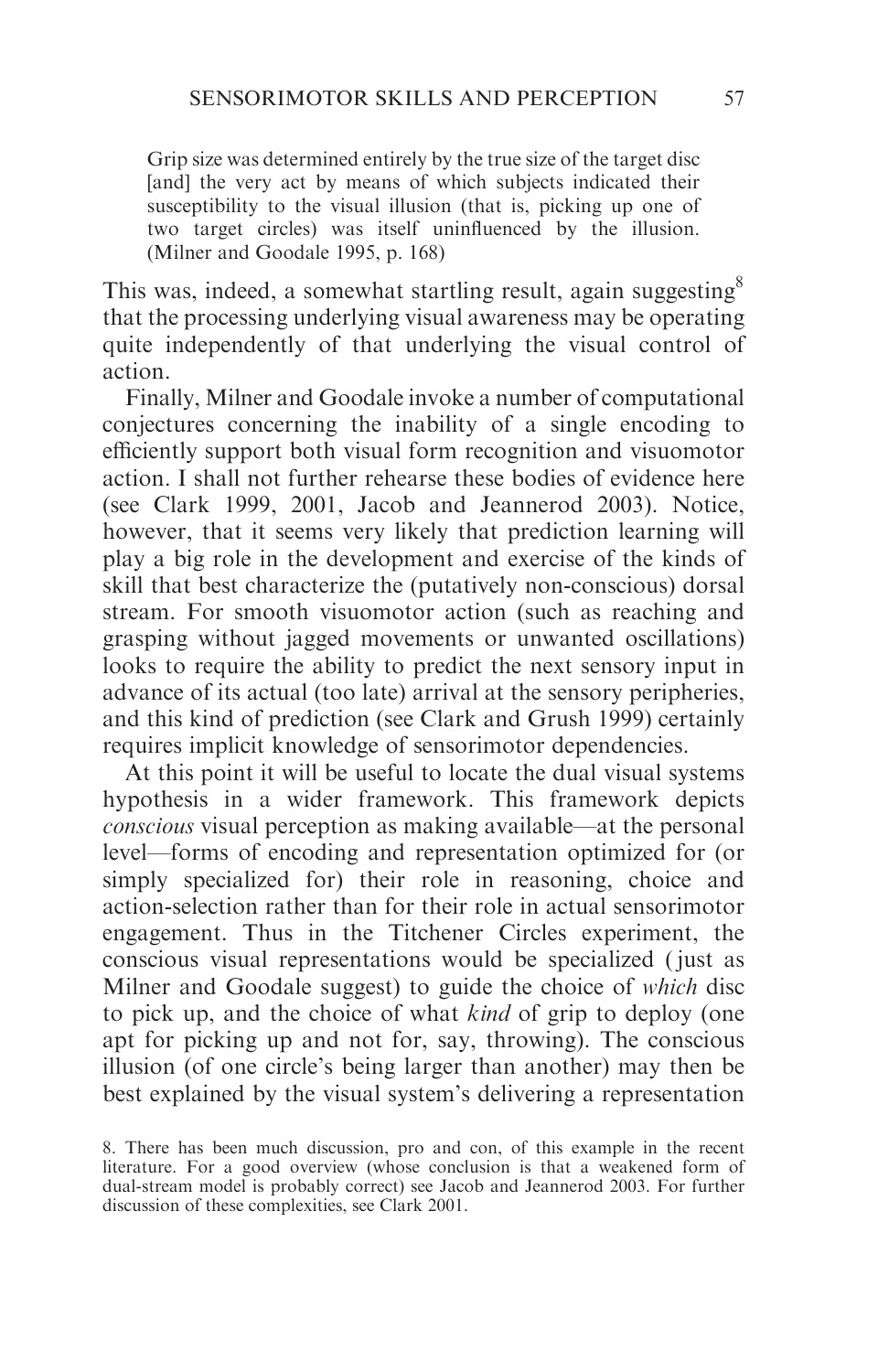Grip size was determined entirely by the true size of the target disc [and] the very act by means of which subjects indicated their susceptibility to the visual illusion (that is, picking up one of two target circles) was itself uninfluenced by the illusion. (Milner and Goodale 1995, p. 168)

This was, indeed, a somewhat startling result, again suggesting  $8$ that the processing underlying visual awareness may be operating quite independently of that underlying the visual control of action.

Finally, Milner and Goodale invoke a number of computational conjectures concerning the inability of a single encoding to efficiently support both visual form recognition and visuomotor action. I shall not further rehearse these bodies of evidence here (see Clark 1999, 2001, Jacob and Jeannerod 2003). Notice, however, that it seems very likely that prediction learning will play a big role in the development and exercise of the kinds of skill that best characterize the (putatively non-conscious) dorsal stream. For smooth visuomotor action (such as reaching and grasping without jagged movements or unwanted oscillations) looks to require the ability to predict the next sensory input in advance of its actual (too late) arrival at the sensory peripheries, and this kind of prediction (see Clark and Grush 1999) certainly requires implicit knowledge of sensorimotor dependencies.

At this point it will be useful to locate the dual visual systems hypothesis in a wider framework. This framework depicts conscious visual perception as making available—at the personal level—forms of encoding and representation optimized for (or simply specialized for) their role in reasoning, choice and action-selection rather than for their role in actual sensorimotor engagement. Thus in the Titchener Circles experiment, the conscious visual representations would be specialized ( just as Milner and Goodale suggest) to guide the choice of which disc to pick up, and the choice of what kind of grip to deploy (one apt for picking up and not for, say, throwing). The conscious illusion (of one circle's being larger than another) may then be best explained by the visual system's delivering a representation

<sup>8.</sup> There has been much discussion, pro and con, of this example in the recent literature. For a good overview (whose conclusion is that a weakened form of dual-stream model is probably correct) see Jacob and Jeannerod 2003. For further discussion of these complexities, see Clark 2001.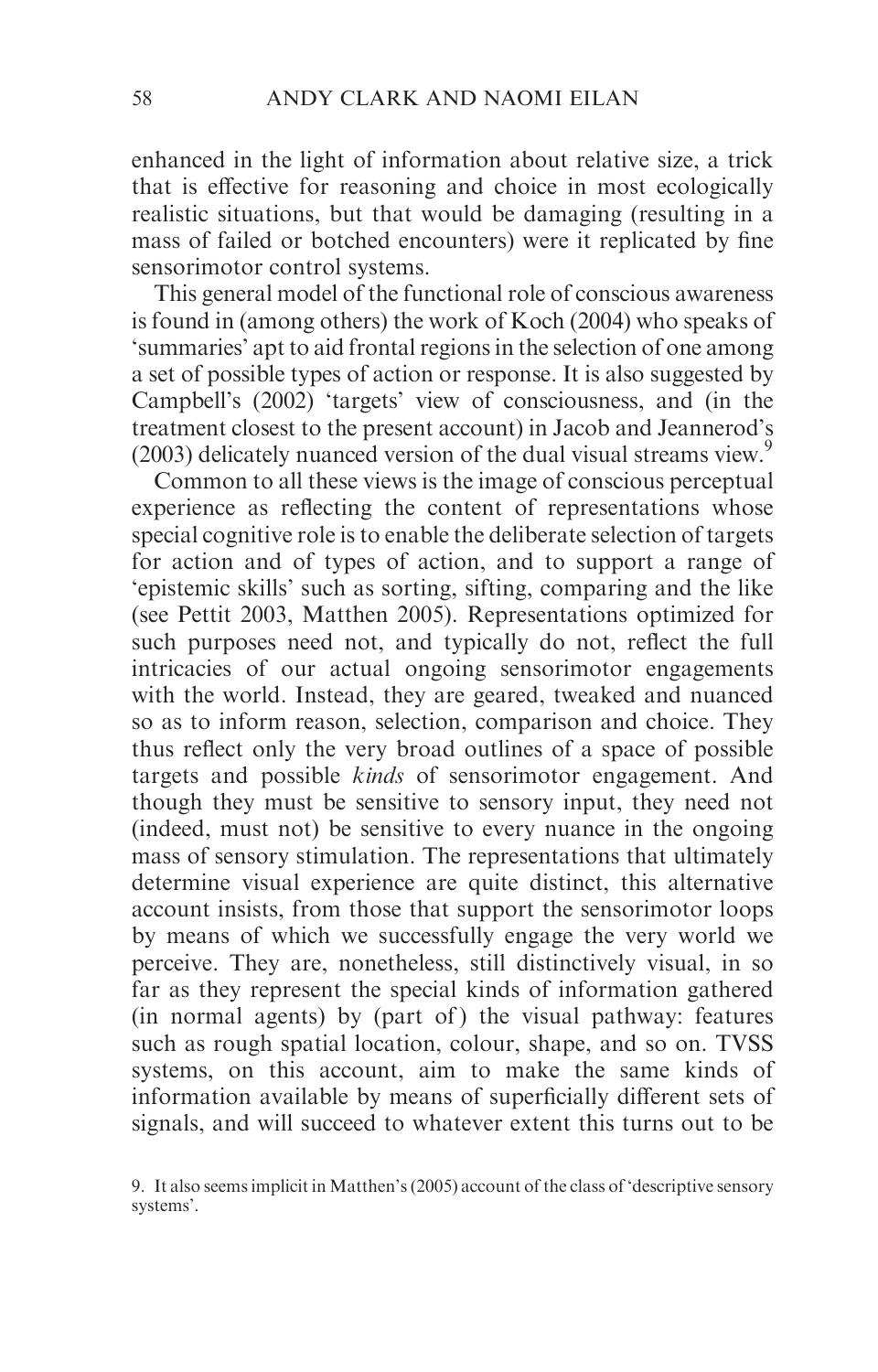enhanced in the light of information about relative size, a trick that is effective for reasoning and choice in most ecologically realistic situations, but that would be damaging (resulting in a mass of failed or botched encounters) were it replicated by fine sensorimotor control systems.

This general model of the functional role of conscious awareness is found in (among others) the work of Koch (2004) who speaks of 'summaries' apt to aid frontal regions in the selection of one among a set of possible types of action or response. It is also suggested by Campbell's (2002) 'targets' view of consciousness, and (in the treatment closest to the present account) in Jacob and Jeannerod's (2003) delicately nuanced version of the dual visual streams view.<sup>9</sup>

Common to all these views is the image of conscious perceptual experience as reflecting the content of representations whose special cognitive role is to enable the deliberate selection of targets for action and of types of action, and to support a range of 'epistemic skills' such as sorting, sifting, comparing and the like (see Pettit 2003, Matthen 2005). Representations optimized for such purposes need not, and typically do not, reflect the full intricacies of our actual ongoing sensorimotor engagements with the world. Instead, they are geared, tweaked and nuanced so as to inform reason, selection, comparison and choice. They thus reflect only the very broad outlines of a space of possible targets and possible kinds of sensorimotor engagement. And though they must be sensitive to sensory input, they need not (indeed, must not) be sensitive to every nuance in the ongoing mass of sensory stimulation. The representations that ultimately determine visual experience are quite distinct, this alternative account insists, from those that support the sensorimotor loops by means of which we successfully engage the very world we perceive. They are, nonetheless, still distinctively visual, in so far as they represent the special kinds of information gathered  $(in$  normal agents) by  $(part of)$  the visual pathway: features such as rough spatial location, colour, shape, and so on. TVSS systems, on this account, aim to make the same kinds of information available by means of superficially different sets of signals, and will succeed to whatever extent this turns out to be

<sup>9.</sup> It also seems implicit in Matthen's (2005) account of the class of 'descriptive sensory systems'.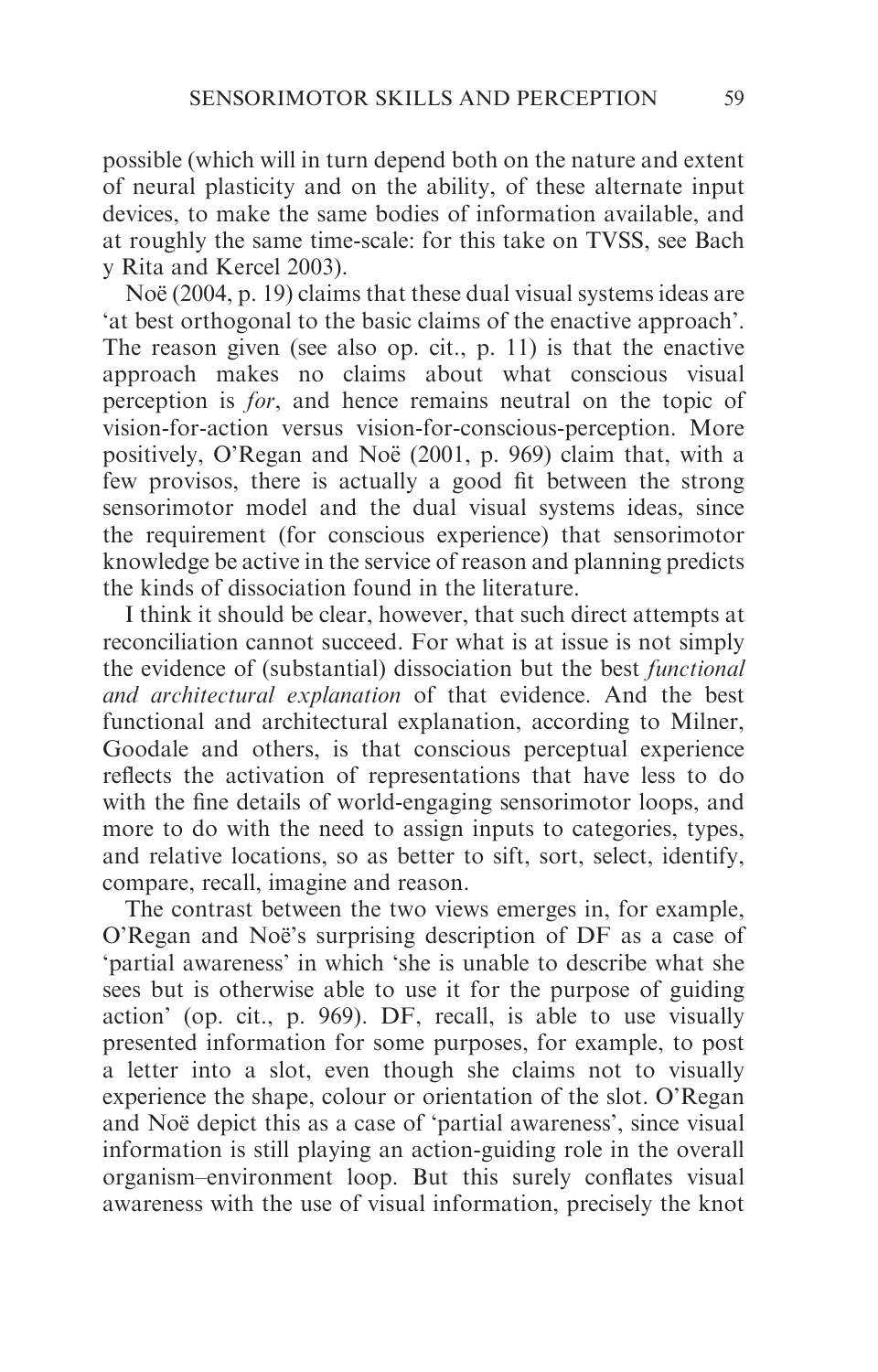possible (which will in turn depend both on the nature and extent of neural plasticity and on the ability, of these alternate input devices, to make the same bodies of information available, and at roughly the same time-scale: for this take on TVSS, see Bach y Rita and Kercel 2003).

Noë (2004, p. 19) claims that these dual visual systems ideas are 'at best orthogonal to the basic claims of the enactive approach'. The reason given (see also op. cit., p. 11) is that the enactive approach makes no claims about what conscious visual perception is for, and hence remains neutral on the topic of vision-for-action versus vision-for-conscious-perception. More positively, O'Regan and Noë (2001, p. 969) claim that, with a few provisos, there is actually a good fit between the strong sensorimotor model and the dual visual systems ideas, since the requirement (for conscious experience) that sensorimotor knowledge be active in the service of reason and planning predicts the kinds of dissociation found in the literature.

I think it should be clear, however, that such direct attempts at reconciliation cannot succeed. For what is at issue is not simply the evidence of (substantial) dissociation but the best functional and architectural explanation of that evidence. And the best functional and architectural explanation, according to Milner, Goodale and others, is that conscious perceptual experience reflects the activation of representations that have less to do with the fine details of world-engaging sensorimotor loops, and more to do with the need to assign inputs to categories, types, and relative locations, so as better to sift, sort, select, identify, compare, recall, imagine and reason.

The contrast between the two views emerges in, for example, O'Regan and Noë's surprising description of DF as a case of 'partial awareness' in which 'she is unable to describe what she sees but is otherwise able to use it for the purpose of guiding action' (op. cit., p. 969). DF, recall, is able to use visually presented information for some purposes, for example, to post a letter into a slot, even though she claims not to visually experience the shape, colour or orientation of the slot. O'Regan and Noë depict this as a case of 'partial awareness', since visual information is still playing an action-guiding role in the overall organism–environment loop. But this surely conflates visual awareness with the use of visual information, precisely the knot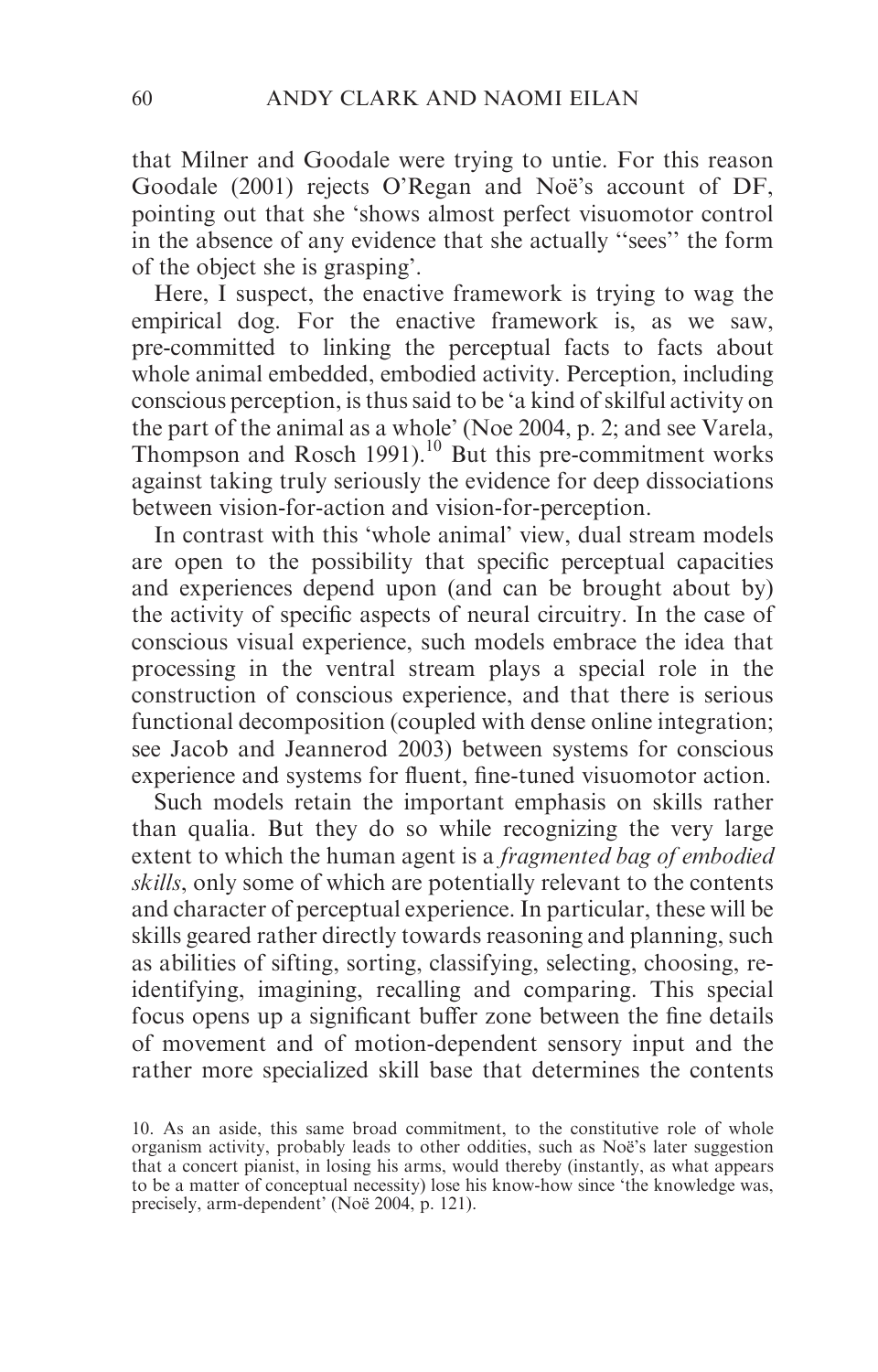that Milner and Goodale were trying to untie. For this reason Goodale (2001) rejects O'Regan and Noë's account of DF, pointing out that she 'shows almost perfect visuomotor control in the absence of any evidence that she actually ''sees'' the form of the object she is grasping'.

Here, I suspect, the enactive framework is trying to wag the empirical dog. For the enactive framework is, as we saw, pre-committed to linking the perceptual facts to facts about whole animal embedded, embodied activity. Perception, including conscious perception, is thus said to be 'a kind of skilful activity on the part of the animal as a whole' (Noe 2004, p. 2; and see Varela, Thompson and Rosch 1991). $^{10}$  But this pre-commitment works against taking truly seriously the evidence for deep dissociations between vision-for-action and vision-for-perception.

In contrast with this 'whole animal' view, dual stream models are open to the possibility that specific perceptual capacities and experiences depend upon (and can be brought about by) the activity of specific aspects of neural circuitry. In the case of conscious visual experience, such models embrace the idea that processing in the ventral stream plays a special role in the construction of conscious experience, and that there is serious functional decomposition (coupled with dense online integration; see Jacob and Jeannerod 2003) between systems for conscious experience and systems for fluent, fine-tuned visuomotor action.

Such models retain the important emphasis on skills rather than qualia. But they do so while recognizing the very large extent to which the human agent is a *fragmented bag of embodied* skills, only some of which are potentially relevant to the contents and character of perceptual experience. In particular, these will be skills geared rather directly towards reasoning and planning, such as abilities of sifting, sorting, classifying, selecting, choosing, reidentifying, imagining, recalling and comparing. This special focus opens up a significant buffer zone between the fine details of movement and of motion-dependent sensory input and the rather more specialized skill base that determines the contents

<sup>10.</sup> As an aside, this same broad commitment, to the constitutive role of whole organism activity, probably leads to other oddities, such as Noë's later suggestion that a concert pianist, in losing his arms, would thereby (instantly, as what appears to be a matter of conceptual necessity) lose his know-how since 'the knowledge was, precisely, arm-dependent' (Noë 2004, p. 121).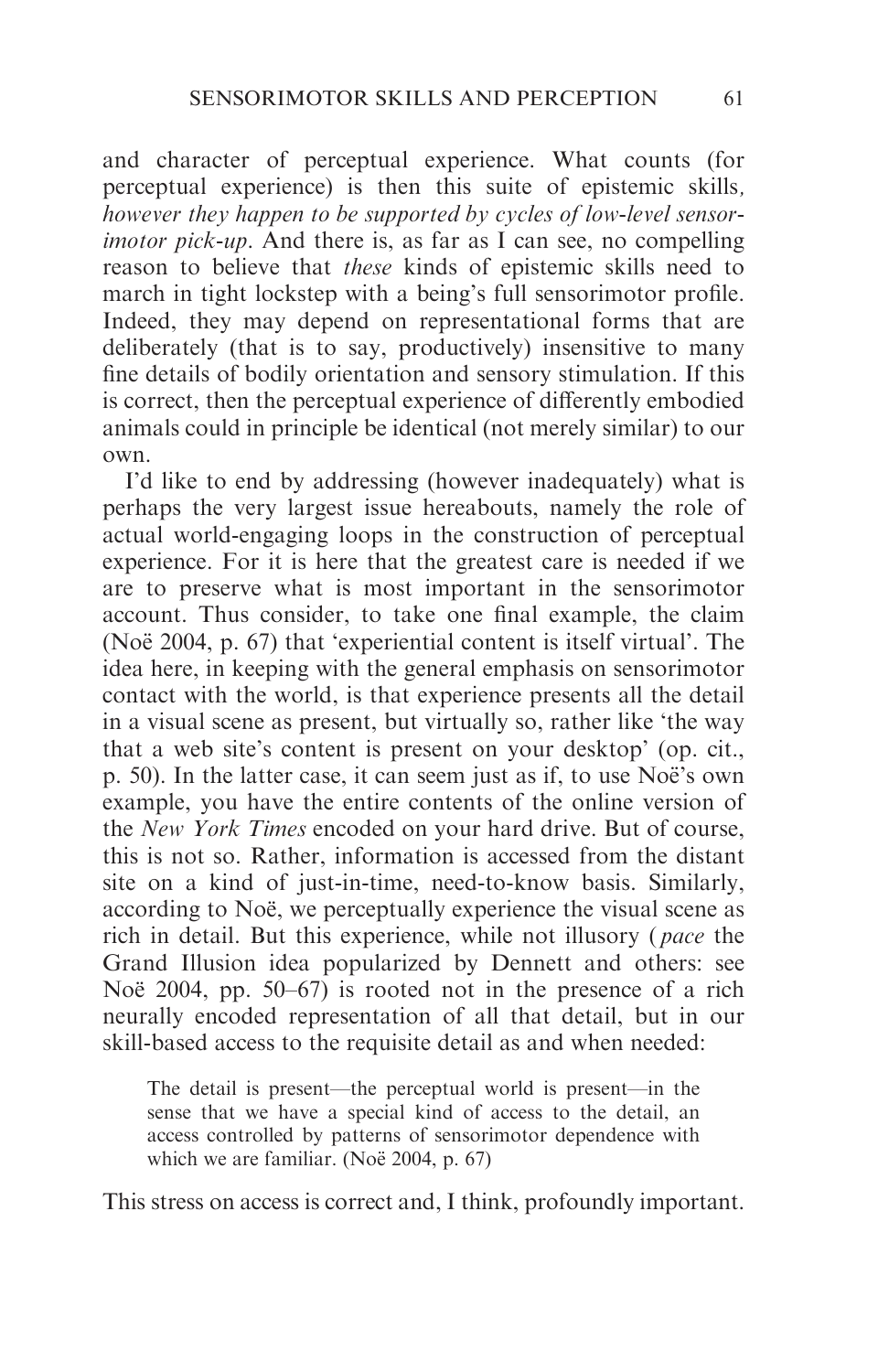and character of perceptual experience. What counts (for perceptual experience) is then this suite of epistemic skills, however they happen to be supported by cycles of low-level sensorimotor pick-up. And there is, as far as I can see, no compelling reason to believe that *these* kinds of epistemic skills need to march in tight lockstep with a being's full sensorimotor profile. Indeed, they may depend on representational forms that are deliberately (that is to say, productively) insensitive to many fine details of bodily orientation and sensory stimulation. If this is correct, then the perceptual experience of differently embodied animals could in principle be identical (not merely similar) to our own.

I'd like to end by addressing (however inadequately) what is perhaps the very largest issue hereabouts, namely the role of actual world-engaging loops in the construction of perceptual experience. For it is here that the greatest care is needed if we are to preserve what is most important in the sensorimotor account. Thus consider, to take one final example, the claim (Noë 2004, p. 67) that 'experiential content is itself virtual'. The idea here, in keeping with the general emphasis on sensorimotor contact with the world, is that experience presents all the detail in a visual scene as present, but virtually so, rather like 'the way that a web site's content is present on your desktop' (op. cit., p. 50). In the latter case, it can seem just as if, to use Noe's own example, you have the entire contents of the online version of the New York Times encoded on your hard drive. But of course, this is not so. Rather, information is accessed from the distant site on a kind of just-in-time, need-to-know basis. Similarly, according to Noë, we perceptually experience the visual scene as rich in detail. But this experience, while not illusory ( pace the Grand Illusion idea popularized by Dennett and others: see Noë  $2004$ , pp.  $50-67$ ) is rooted not in the presence of a rich neurally encoded representation of all that detail, but in our skill-based access to the requisite detail as and when needed:

The detail is present—the perceptual world is present—in the sense that we have a special kind of access to the detail, an access controlled by patterns of sensorimotor dependence with which we are familiar. (Noë 2004, p. 67)

This stress on access is correct and, I think, profoundly important.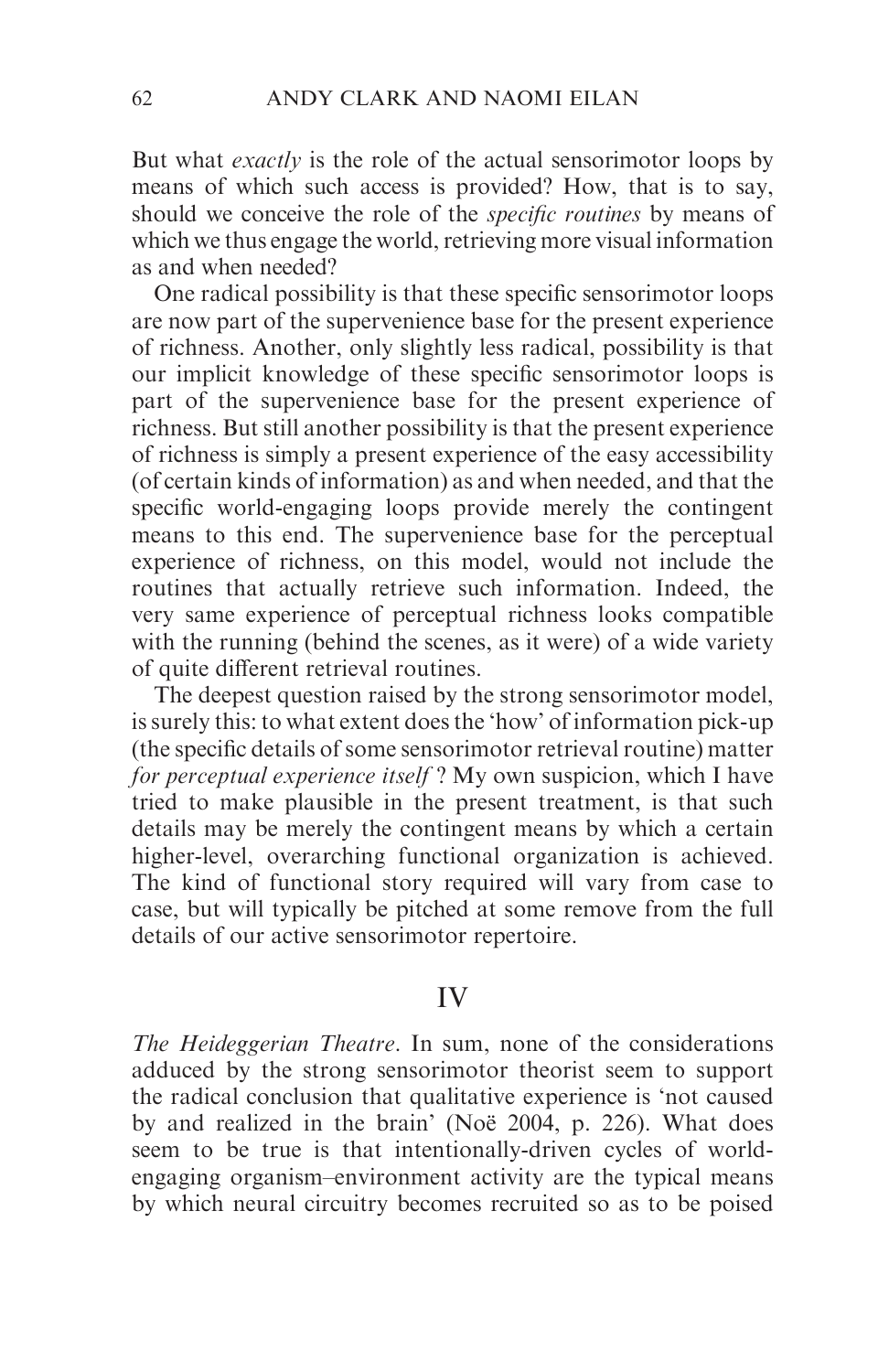But what *exactly* is the role of the actual sensorimotor loops by means of which such access is provided? How, that is to say, should we conceive the role of the *specific routines* by means of which we thus engage the world, retrieving more visual information as and when needed?

One radical possibility is that these specific sensorimotor loops are now part of the supervenience base for the present experience of richness. Another, only slightly less radical, possibility is that our implicit knowledge of these specific sensorimotor loops is part of the supervenience base for the present experience of richness. But still another possibility is that the present experience of richness is simply a present experience of the easy accessibility (of certain kinds of information) as and when needed, and that the specific world-engaging loops provide merely the contingent means to this end. The supervenience base for the perceptual experience of richness, on this model, would not include the routines that actually retrieve such information. Indeed, the very same experience of perceptual richness looks compatible with the running (behind the scenes, as it were) of a wide variety of quite different retrieval routines.

The deepest question raised by the strong sensorimotor model, is surely this: to what extent does the 'how' of information pick-up (the specific details of some sensorimotor retrieval routine) matter for perceptual experience itself ? My own suspicion, which I have tried to make plausible in the present treatment, is that such details may be merely the contingent means by which a certain higher-level, overarching functional organization is achieved. The kind of functional story required will vary from case to case, but will typically be pitched at some remove from the full details of our active sensorimotor repertoire.

#### IV

The Heideggerian Theatre. In sum, none of the considerations adduced by the strong sensorimotor theorist seem to support the radical conclusion that qualitative experience is 'not caused by and realized in the brain' (Noë 2004, p. 226). What does seem to be true is that intentionally-driven cycles of worldengaging organism–environment activity are the typical means by which neural circuitry becomes recruited so as to be poised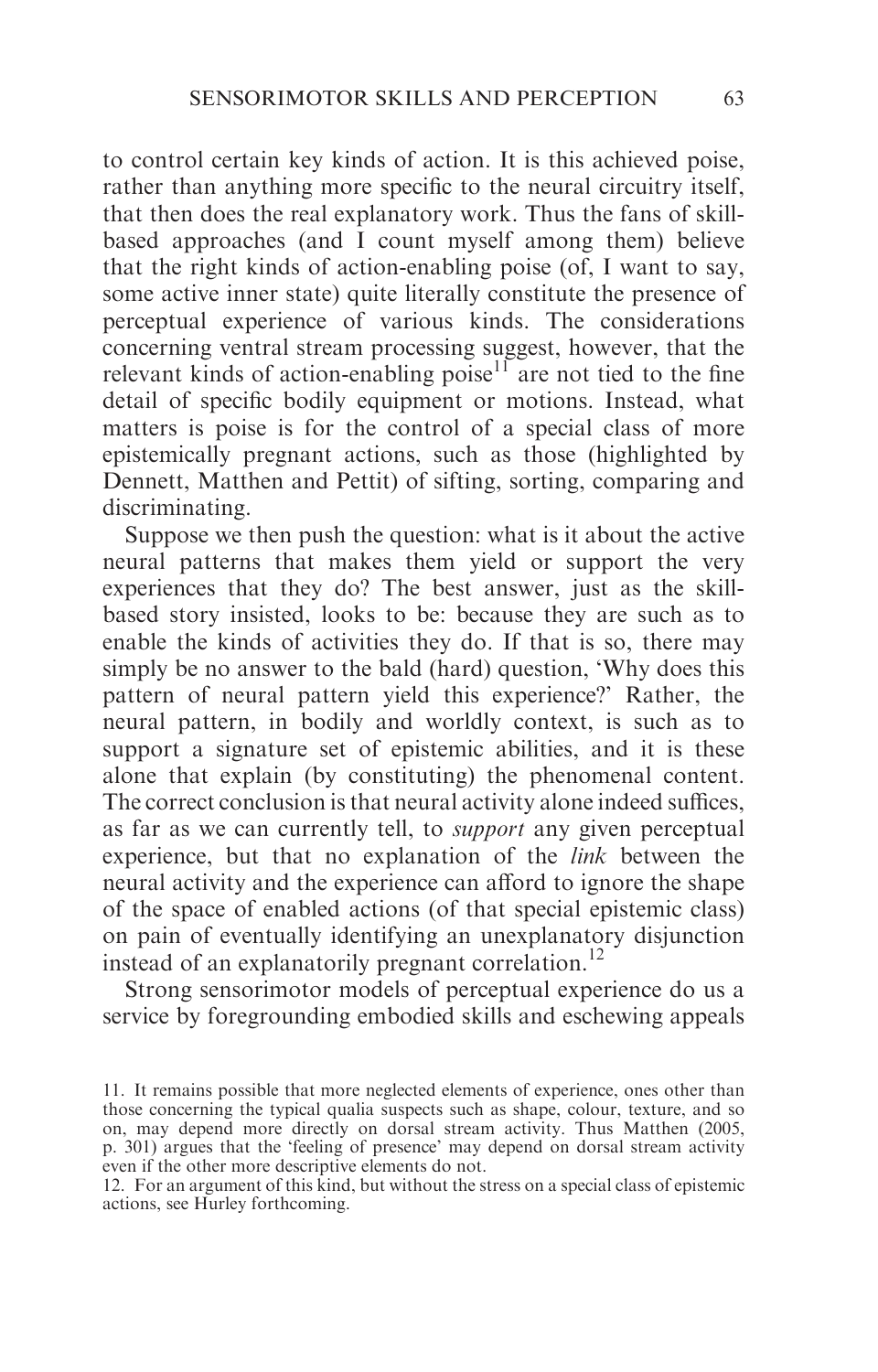to control certain key kinds of action. It is this achieved poise, rather than anything more specific to the neural circuitry itself, that then does the real explanatory work. Thus the fans of skillbased approaches (and I count myself among them) believe that the right kinds of action-enabling poise (of, I want to say, some active inner state) quite literally constitute the presence of perceptual experience of various kinds. The considerations concerning ventral stream processing suggest, however, that the relevant kinds of action-enabling poise<sup> $11$ </sup> are not tied to the fine detail of specific bodily equipment or motions. Instead, what matters is poise is for the control of a special class of more epistemically pregnant actions, such as those (highlighted by Dennett, Matthen and Pettit) of sifting, sorting, comparing and discriminating.

Suppose we then push the question: what is it about the active neural patterns that makes them yield or support the very experiences that they do? The best answer, just as the skillbased story insisted, looks to be: because they are such as to enable the kinds of activities they do. If that is so, there may simply be no answer to the bald (hard) question, 'Why does this pattern of neural pattern yield this experience?' Rather, the neural pattern, in bodily and worldly context, is such as to support a signature set of epistemic abilities, and it is these alone that explain (by constituting) the phenomenal content. The correct conclusion is that neural activity alone indeed suffices, as far as we can currently tell, to support any given perceptual experience, but that no explanation of the link between the neural activity and the experience can afford to ignore the shape of the space of enabled actions (of that special epistemic class) on pain of eventually identifying an unexplanatory disjunction instead of an explanatorily pregnant correlation.<sup>12</sup>

Strong sensorimotor models of perceptual experience do us a service by foregrounding embodied skills and eschewing appeals

<sup>11.</sup> It remains possible that more neglected elements of experience, ones other than those concerning the typical qualia suspects such as shape, colour, texture, and so on, may depend more directly on dorsal stream activity. Thus Matthen (2005, p. 301) argues that the 'feeling of presence' may depend on dorsal stream activity even if the other more descriptive elements do not.

<sup>12.</sup> For an argument of this kind, but without the stress on a special class of epistemic actions, see Hurley forthcoming.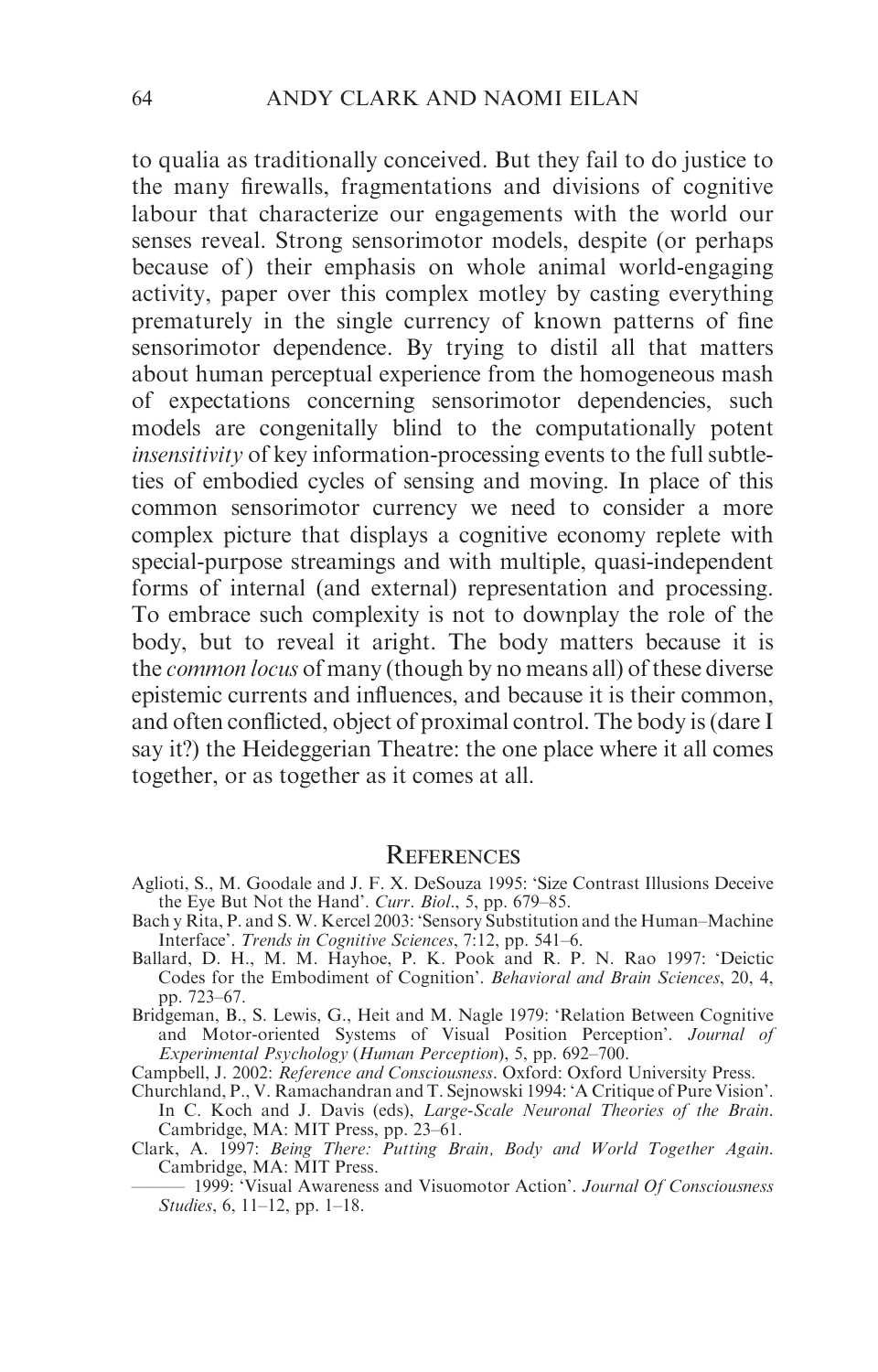to qualia as traditionally conceived. But they fail to do justice to the many firewalls, fragmentations and divisions of cognitive labour that characterize our engagements with the world our senses reveal. Strong sensorimotor models, despite (or perhaps because of) their emphasis on whole animal world-engaging activity, paper over this complex motley by casting everything prematurely in the single currency of known patterns of fine sensorimotor dependence. By trying to distil all that matters about human perceptual experience from the homogeneous mash of expectations concerning sensorimotor dependencies, such models are congenitally blind to the computationally potent insensitivity of key information-processing events to the full subtleties of embodied cycles of sensing and moving. In place of this common sensorimotor currency we need to consider a more complex picture that displays a cognitive economy replete with special-purpose streamings and with multiple, quasi-independent forms of internal (and external) representation and processing. To embrace such complexity is not to downplay the role of the body, but to reveal it aright. The body matters because it is the common locus of many (though by no means all) of these diverse epistemic currents and influences, and because it is their common, and often conflicted, object of proximal control. The body is (dare I say it?) the Heideggerian Theatre: the one place where it all comes together, or as together as it comes at all.

#### **REFERENCES**

- Aglioti, S., M. Goodale and J. F. X. DeSouza 1995: 'Size Contrast Illusions Deceive the Eye But Not the Hand'. Curr. Biol., 5, pp. 679–85.
- Bach y Rita, P. and S. W. Kercel 2003: 'Sensory Substitution and the Human–Machine Interface'. Trends in Cognitive Sciences, 7:12, pp. 541–6.
- Ballard, D. H., M. M. Hayhoe, P. K. Pook and R. P. N. Rao 1997: 'Deictic Codes for the Embodiment of Cognition'. Behavioral and Brain Sciences, 20, 4, pp. 723–67.

Bridgeman, B., S. Lewis, G., Heit and M. Nagle 1979: 'Relation Between Cognitive and Motor-oriented Systems of Visual Position Perception'. Journal of Experimental Psychology (Human Perception), 5, pp. 692–700.

Campbell, J. 2002: Reference and Consciousness. Oxford: Oxford University Press.

Churchland, P., V. Ramachandran and T. Sejnowski 1994: 'A Critique of Pure Vision'. In C. Koch and J. Davis (eds), Large-Scale Neuronal Theories of the Brain. Cambridge, MA: MIT Press, pp. 23–61.

Clark, A. 1997: Being There: Putting Brain, Body and World Together Again. Cambridge, MA: MIT Press.

- 1999: 'Visual Awareness and Visuomotor Action'. Journal Of Consciousness Studies, 6, 11–12, pp. 1–18.